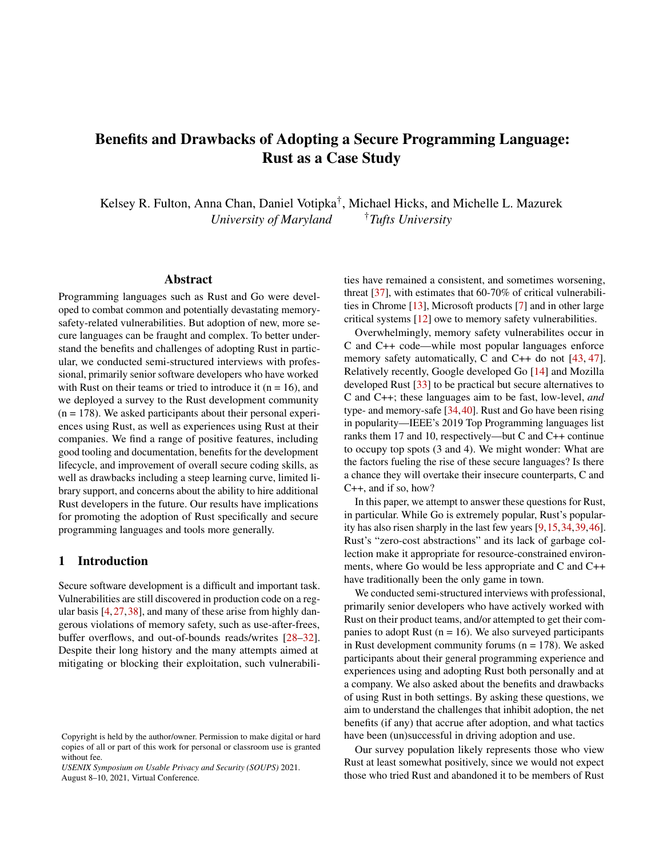# Benefits and Drawbacks of Adopting a Secure Programming Language: Rust as a Case Study

Kelsey R. Fulton, Anna Chan, Daniel Votipka† , Michael Hicks, and Michelle L. Mazurek *University of Maryland* †*Tufts University*

### Abstract

Programming languages such as Rust and Go were developed to combat common and potentially devastating memorysafety-related vulnerabilities. But adoption of new, more secure languages can be fraught and complex. To better understand the benefits and challenges of adopting Rust in particular, we conducted semi-structured interviews with professional, primarily senior software developers who have worked with Rust on their teams or tried to introduce it ( $n = 16$ ), and we deployed a survey to the Rust development community  $(n = 178)$ . We asked participants about their personal experiences using Rust, as well as experiences using Rust at their companies. We find a range of positive features, including good tooling and documentation, benefits for the development lifecycle, and improvement of overall secure coding skills, as well as drawbacks including a steep learning curve, limited library support, and concerns about the ability to hire additional Rust developers in the future. Our results have implications for promoting the adoption of Rust specifically and secure programming languages and tools more generally.

#### 1 Introduction

Secure software development is a difficult and important task. Vulnerabilities are still discovered in production code on a regular basis [\[4,](#page-12-0)[27,](#page-13-0)[38\]](#page-13-1), and many of these arise from highly dangerous violations of memory safety, such as use-after-frees, buffer overflows, and out-of-bounds reads/writes [\[28–](#page-13-2)[32\]](#page-13-3). Despite their long history and the many attempts aimed at mitigating or blocking their exploitation, such vulnerabilities have remained a consistent, and sometimes worsening, threat [\[37\]](#page-13-4), with estimates that 60-70% of critical vulnerabilities in Chrome [\[13\]](#page-12-1), Microsoft products [\[7\]](#page-12-2) and in other large critical systems [\[12\]](#page-12-3) owe to memory safety vulnerabilities.

Overwhelmingly, memory safety vulnerabilites occur in C and C++ code—while most popular languages enforce memory safety automatically, C and C++ do not [\[43,](#page-13-5) [47\]](#page-13-6). Relatively recently, Google developed Go [\[14\]](#page-12-4) and Mozilla developed Rust [\[33\]](#page-13-7) to be practical but secure alternatives to C and C++; these languages aim to be fast, low-level, *and* type- and memory-safe [\[34,](#page-13-8)[40\]](#page-13-9). Rust and Go have been rising in popularity—IEEE's 2019 Top Programming languages list ranks them 17 and 10, respectively—but C and C++ continue to occupy top spots (3 and 4). We might wonder: What are the factors fueling the rise of these secure languages? Is there a chance they will overtake their insecure counterparts, C and C++, and if so, how?

In this paper, we attempt to answer these questions for Rust, in particular. While Go is extremely popular, Rust's popularity has also risen sharply in the last few years [\[9](#page-12-5)[,15,](#page-12-6)[34,](#page-13-8)[39,](#page-13-10)[46\]](#page-13-11). Rust's "zero-cost abstractions" and its lack of garbage collection make it appropriate for resource-constrained environments, where Go would be less appropriate and C and C++ have traditionally been the only game in town.

We conducted semi-structured interviews with professional, primarily senior developers who have actively worked with Rust on their product teams, and/or attempted to get their companies to adopt Rust ( $n = 16$ ). We also surveyed participants in Rust development community forums  $(n = 178)$ . We asked participants about their general programming experience and experiences using and adopting Rust both personally and at a company. We also asked about the benefits and drawbacks of using Rust in both settings. By asking these questions, we aim to understand the challenges that inhibit adoption, the net benefits (if any) that accrue after adoption, and what tactics have been (un)successful in driving adoption and use.

Our survey population likely represents those who view Rust at least somewhat positively, since we would not expect those who tried Rust and abandoned it to be members of Rust

Copyright is held by the author/owner. Permission to make digital or hard copies of all or part of this work for personal or classroom use is granted without fee.

*USENIX Symposium on Usable Privacy and Security (SOUPS)* 2021. August 8–10, 2021, Virtual Conference.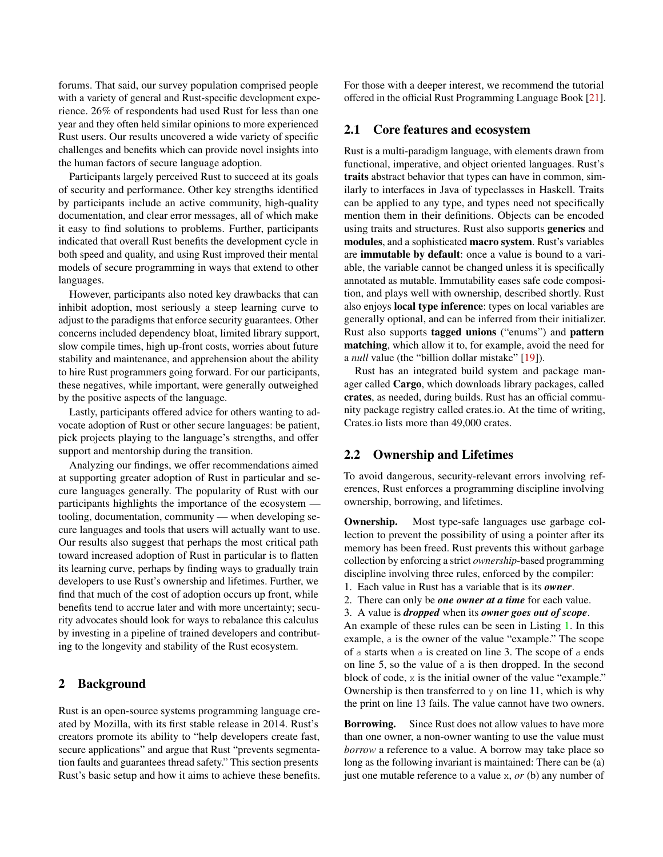forums. That said, our survey population comprised people with a variety of general and Rust-specific development experience. 26% of respondents had used Rust for less than one year and they often held similar opinions to more experienced Rust users. Our results uncovered a wide variety of specific challenges and benefits which can provide novel insights into the human factors of secure language adoption.

Participants largely perceived Rust to succeed at its goals of security and performance. Other key strengths identified by participants include an active community, high-quality documentation, and clear error messages, all of which make it easy to find solutions to problems. Further, participants indicated that overall Rust benefits the development cycle in both speed and quality, and using Rust improved their mental models of secure programming in ways that extend to other languages.

However, participants also noted key drawbacks that can inhibit adoption, most seriously a steep learning curve to adjust to the paradigms that enforce security guarantees. Other concerns included dependency bloat, limited library support, slow compile times, high up-front costs, worries about future stability and maintenance, and apprehension about the ability to hire Rust programmers going forward. For our participants, these negatives, while important, were generally outweighed by the positive aspects of the language.

Lastly, participants offered advice for others wanting to advocate adoption of Rust or other secure languages: be patient, pick projects playing to the language's strengths, and offer support and mentorship during the transition.

Analyzing our findings, we offer recommendations aimed at supporting greater adoption of Rust in particular and secure languages generally. The popularity of Rust with our participants highlights the importance of the ecosystem tooling, documentation, community — when developing secure languages and tools that users will actually want to use. Our results also suggest that perhaps the most critical path toward increased adoption of Rust in particular is to flatten its learning curve, perhaps by finding ways to gradually train developers to use Rust's ownership and lifetimes. Further, we find that much of the cost of adoption occurs up front, while benefits tend to accrue later and with more uncertainty; security advocates should look for ways to rebalance this calculus by investing in a pipeline of trained developers and contributing to the longevity and stability of the Rust ecosystem.

# <span id="page-1-0"></span>2 Background

Rust is an open-source systems programming language created by Mozilla, with its first stable release in 2014. Rust's creators promote its ability to "help developers create fast, secure applications" and argue that Rust "prevents segmentation faults and guarantees thread safety." This section presents Rust's basic setup and how it aims to achieve these benefits. For those with a deeper interest, we recommend the tutorial offered in the official Rust Programming Language Book [\[21\]](#page-12-7).

# 2.1 Core features and ecosystem

Rust is a multi-paradigm language, with elements drawn from functional, imperative, and object oriented languages. Rust's traits abstract behavior that types can have in common, similarly to interfaces in Java of typeclasses in Haskell. Traits can be applied to any type, and types need not specifically mention them in their definitions. Objects can be encoded using traits and structures. Rust also supports generics and modules, and a sophisticated macro system. Rust's variables are immutable by default: once a value is bound to a variable, the variable cannot be changed unless it is specifically annotated as mutable. Immutability eases safe code composition, and plays well with ownership, described shortly. Rust also enjoys local type inference: types on local variables are generally optional, and can be inferred from their initializer. Rust also supports tagged unions ("enums") and pattern matching, which allow it to, for example, avoid the need for a *null* value (the "billion dollar mistake" [\[19\]](#page-12-8)).

Rust has an integrated build system and package manager called Cargo, which downloads library packages, called crates, as needed, during builds. Rust has an official community package registry called crates.io. At the time of writing, Crates.io lists more than 49,000 crates.

### 2.2 Ownership and Lifetimes

To avoid dangerous, security-relevant errors involving references, Rust enforces a programming discipline involving ownership, borrowing, and lifetimes.

Ownership. Most type-safe languages use garbage collection to prevent the possibility of using a pointer after its memory has been freed. Rust prevents this without garbage collection by enforcing a strict *ownership*-based programming discipline involving three rules, enforced by the compiler:

- 1. Each value in Rust has a variable that is its *owner*.
- 2. There can only be *one owner at a time* for each value.
- 3. A value is *dropped* when its *owner goes out of scope*.

An example of these rules can be seen in Listing [1.](#page-2-0) In this example, a is the owner of the value "example." The scope of a starts when a is created on line 3. The scope of a ends on line 5, so the value of a is then dropped. In the second block of code, x is the initial owner of the value "example." Ownership is then transferred to  $y$  on line 11, which is why the print on line 13 fails. The value cannot have two owners.

Borrowing. Since Rust does not allow values to have more than one owner, a non-owner wanting to use the value must *borrow* a reference to a value. A borrow may take place so long as the following invariant is maintained: There can be (a) just one mutable reference to a value x, *or* (b) any number of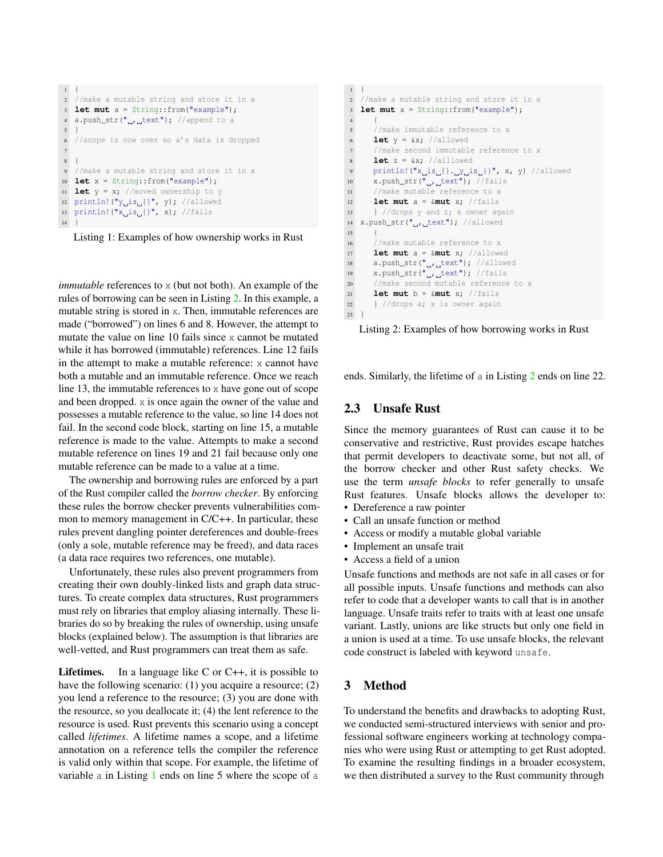```
1 {
2 //make a mutable string and store it in a
3 let mut a = String::from("example");
4 a.push_str("\mu, text"); //append to a
5 }
6 //scope is now over so a's data is dropped
 7
8 {
9 //make a mutable string and store it in x
10 let x = String::from("example");
11 let y = x; //moved ownership to y
12 println! ("y_iis<sub>i</sub>{}", y}; //allowed
13 println! ("x_is_u]", x); //fails
14 }
```


*immutable* references to x (but not both). An example of the rules of borrowing can be seen in Listing [2.](#page-2-1) In this example, a mutable string is stored in x. Then, immutable references are made ("borrowed") on lines 6 and 8. However, the attempt to mutate the value on line 10 fails since x cannot be mutated while it has borrowed (immutable) references. Line 12 fails in the attempt to make a mutable reference: x cannot have both a mutable and an immutable reference. Once we reach line 13, the immutable references to x have gone out of scope and been dropped. x is once again the owner of the value and possesses a mutable reference to the value, so line 14 does not fail. In the second code block, starting on line 15, a mutable reference is made to the value. Attempts to make a second mutable reference on lines 19 and 21 fail because only one mutable reference can be made to a value at a time.

The ownership and borrowing rules are enforced by a part of the Rust compiler called the *borrow checker*. By enforcing these rules the borrow checker prevents vulnerabilities common to memory management in C/C++. In particular, these rules prevent dangling pointer dereferences and double-frees (only a sole, mutable reference may be freed), and data races (a data race requires two references, one mutable).

Unfortunately, these rules also prevent programmers from creating their own doubly-linked lists and graph data structures. To create complex data structures, Rust programmers must rely on libraries that employ aliasing internally. These libraries do so by breaking the rules of ownership, using unsafe blocks (explained below). The assumption is that libraries are well-vetted, and Rust programmers can treat them as safe.

**Lifetimes.** In a language like  $C$  or  $C++$ , it is possible to have the following scenario: (1) you acquire a resource; (2) you lend a reference to the resource; (3) you are done with the resource, so you deallocate it; (4) the lent reference to the resource is used. Rust prevents this scenario using a concept called *lifetimes*. A lifetime names a scope, and a lifetime annotation on a reference tells the compiler the reference is valid only within that scope. For example, the lifetime of variable a in Listing [1](#page-2-0) ends on line 5 where the scope of a

```
1 {
2 //make a mutable string and store it in x
3 let mut x = String::from("example");
 4 {
5 //make immutable reference to x
6 let y = \&x; //allowed
     //make second immutable reference to x
8 let z = \&x; //alllowed
9 println! ("x_is_{}. y_is_{}", x, y) //allowed
10 x.push_str("_{\text{u}}, text"); //fails
11 //make mutable reference to x
12 let mut a = &mut x; //fails
13 } //drops y and z; x owner again
14 x.push_str(".,_text"); //allowed
15 {
16 //make mutable reference to x
17 let mut a = &mut x; //allowed
18 a.push_str(", text"); //allowed
19 x.push_str(",,_text"); //fails
20 //make second mutable reference to x
21 let mut b = \kappa m u t x; //fails
22 } //drops a; x is owner again
23 }
```
Listing 2: Examples of how borrowing works in Rust

ends. Similarly, the lifetime of a in Listing [2](#page-2-1) ends on line 22.

# 2.3 Unsafe Rust

Since the memory guarantees of Rust can cause it to be conservative and restrictive, Rust provides escape hatches that permit developers to deactivate some, but not all, of the borrow checker and other Rust safety checks. We use the term *unsafe blocks* to refer generally to unsafe Rust features. Unsafe blocks allows the developer to:

- Dereference a raw pointer
- Call an unsafe function or method
- Access or modify a mutable global variable
- Implement an unsafe trait
- Access a field of a union

Unsafe functions and methods are not safe in all cases or for all possible inputs. Unsafe functions and methods can also refer to code that a developer wants to call that is in another language. Unsafe traits refer to traits with at least one unsafe variant. Lastly, unions are like structs but only one field in a union is used at a time. To use unsafe blocks, the relevant code construct is labeled with keyword unsafe.

# 3 Method

To understand the benefits and drawbacks to adopting Rust, we conducted semi-structured interviews with senior and professional software engineers working at technology companies who were using Rust or attempting to get Rust adopted. To examine the resulting findings in a broader ecosystem, we then distributed a survey to the Rust community through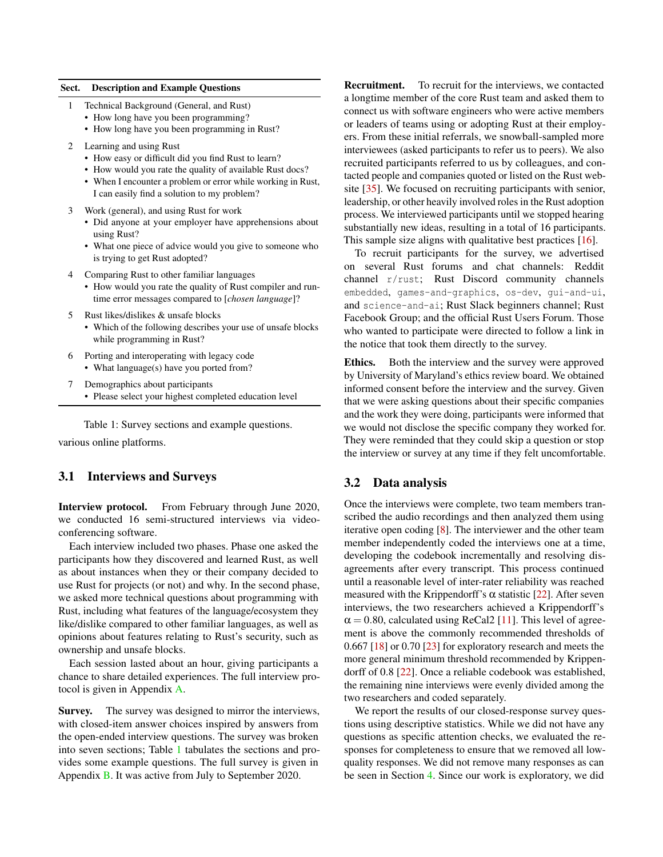#### <span id="page-3-0"></span>Sect. Description and Example Questions

- 1 Technical Background (General, and Rust)
	- How long have you been programming?
	- How long have you been programming in Rust?
- 2 Learning and using Rust
	- How easy or difficult did you find Rust to learn?
	- How would you rate the quality of available Rust docs?
	- When I encounter a problem or error while working in Rust, I can easily find a solution to my problem?
- 3 Work (general), and using Rust for work
	- Did anyone at your employer have apprehensions about using Rust?
	- What one piece of advice would you give to someone who is trying to get Rust adopted?
- 4 Comparing Rust to other familiar languages
	- How would you rate the quality of Rust compiler and runtime error messages compared to [*chosen language*]?
- 5 Rust likes/dislikes & unsafe blocks
	- Which of the following describes your use of unsafe blocks while programming in Rust?
- 6 Porting and interoperating with legacy code • What language(s) have you ported from?
- 7 Demographics about participants
	- Please select your highest completed education level

Table 1: Survey sections and example questions.

various online platforms.

#### 3.1 Interviews and Surveys

Interview protocol. From February through June 2020, we conducted 16 semi-structured interviews via videoconferencing software.

Each interview included two phases. Phase one asked the participants how they discovered and learned Rust, as well as about instances when they or their company decided to use Rust for projects (or not) and why. In the second phase, we asked more technical questions about programming with Rust, including what features of the language/ecosystem they like/dislike compared to other familiar languages, as well as opinions about features relating to Rust's security, such as ownership and unsafe blocks.

Each session lasted about an hour, giving participants a chance to share detailed experiences. The full interview protocol is given in Appendix [A.](#page-14-0)

Survey. The survey was designed to mirror the interviews, with closed-item answer choices inspired by answers from the open-ended interview questions. The survey was broken into seven sections; Table [1](#page-3-0) tabulates the sections and provides some example questions. The full survey is given in Appendix [B.](#page-15-0) It was active from July to September 2020.

Recruitment. To recruit for the interviews, we contacted a longtime member of the core Rust team and asked them to connect us with software engineers who were active members or leaders of teams using or adopting Rust at their employers. From these initial referrals, we snowball-sampled more interviewees (asked participants to refer us to peers). We also recruited participants referred to us by colleagues, and contacted people and companies quoted or listed on the Rust website [\[35\]](#page-13-12). We focused on recruiting participants with senior, leadership, or other heavily involved roles in the Rust adoption process. We interviewed participants until we stopped hearing substantially new ideas, resulting in a total of 16 participants. This sample size aligns with qualitative best practices [\[16\]](#page-12-9).

To recruit participants for the survey, we advertised on several Rust forums and chat channels: Reddit channel r/rust; Rust Discord community channels embedded, games-and-graphics, os-dev, gui-and-ui, and science-and-ai; Rust Slack beginners channel; Rust Facebook Group; and the official Rust Users Forum. Those who wanted to participate were directed to follow a link in the notice that took them directly to the survey.

Ethics. Both the interview and the survey were approved by University of Maryland's ethics review board. We obtained informed consent before the interview and the survey. Given that we were asking questions about their specific companies and the work they were doing, participants were informed that we would not disclose the specific company they worked for. They were reminded that they could skip a question or stop the interview or survey at any time if they felt uncomfortable.

#### 3.2 Data analysis

Once the interviews were complete, two team members transcribed the audio recordings and then analyzed them using iterative open coding [\[8\]](#page-12-10). The interviewer and the other team member independently coded the interviews one at a time, developing the codebook incrementally and resolving disagreements after every transcript. This process continued until a reasonable level of inter-rater reliability was reached measured with the Krippendorff's  $\alpha$  statistic [\[22\]](#page-13-13). After seven interviews, the two researchers achieved a Krippendorff's  $\alpha$  = 0.80, calculated using ReCal2 [\[11\]](#page-12-11). This level of agreement is above the commonly recommended thresholds of 0.667 [\[18\]](#page-12-12) or 0.70 [\[23\]](#page-13-14) for exploratory research and meets the more general minimum threshold recommended by Krippendorff of 0.8 [\[22\]](#page-13-13). Once a reliable codebook was established, the remaining nine interviews were evenly divided among the two researchers and coded separately.

We report the results of our closed-response survey questions using descriptive statistics. While we did not have any questions as specific attention checks, we evaluated the responses for completeness to ensure that we removed all lowquality responses. We did not remove many responses as can be seen in Section [4.](#page-4-0) Since our work is exploratory, we did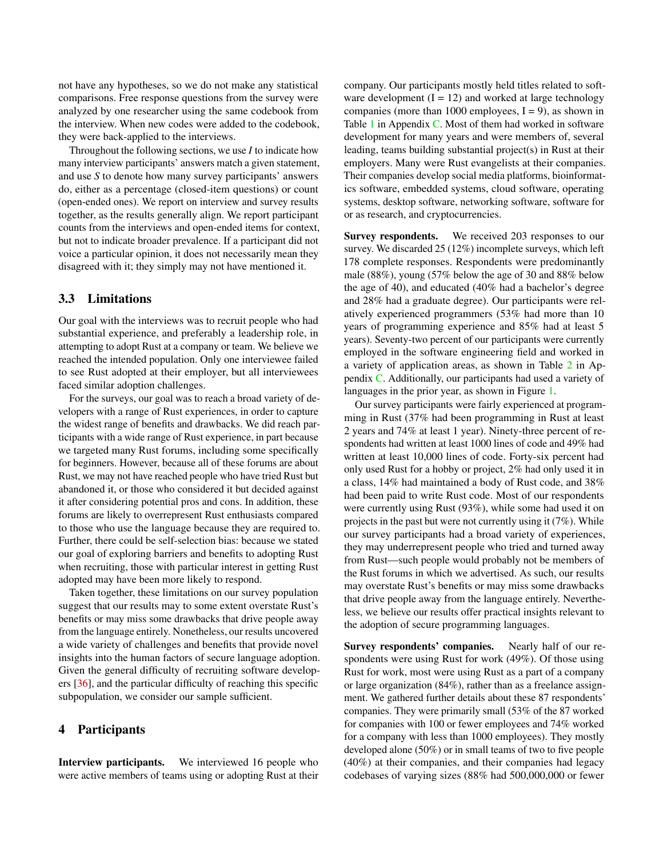not have any hypotheses, so we do not make any statistical comparisons. Free response questions from the survey were analyzed by one researcher using the same codebook from the interview. When new codes were added to the codebook, they were back-applied to the interviews.

Throughout the following sections, we use *I* to indicate how many interview participants' answers match a given statement, and use *S* to denote how many survey participants' answers do, either as a percentage (closed-item questions) or count (open-ended ones). We report on interview and survey results together, as the results generally align. We report participant counts from the interviews and open-ended items for context, but not to indicate broader prevalence. If a participant did not voice a particular opinion, it does not necessarily mean they disagreed with it; they simply may not have mentioned it.

#### 3.3 Limitations

Our goal with the interviews was to recruit people who had substantial experience, and preferably a leadership role, in attempting to adopt Rust at a company or team. We believe we reached the intended population. Only one interviewee failed to see Rust adopted at their employer, but all interviewees faced similar adoption challenges.

For the surveys, our goal was to reach a broad variety of developers with a range of Rust experiences, in order to capture the widest range of benefits and drawbacks. We did reach participants with a wide range of Rust experience, in part because we targeted many Rust forums, including some specifically for beginners. However, because all of these forums are about Rust, we may not have reached people who have tried Rust but abandoned it, or those who considered it but decided against it after considering potential pros and cons. In addition, these forums are likely to overrepresent Rust enthusiasts compared to those who use the language because they are required to. Further, there could be self-selection bias: because we stated our goal of exploring barriers and benefits to adopting Rust when recruiting, those with particular interest in getting Rust adopted may have been more likely to respond.

Taken together, these limitations on our survey population suggest that our results may to some extent overstate Rust's benefits or may miss some drawbacks that drive people away from the language entirely. Nonetheless, our results uncovered a wide variety of challenges and benefits that provide novel insights into the human factors of secure language adoption. Given the general difficulty of recruiting software developers [\[36\]](#page-13-15), and the particular difficulty of reaching this specific subpopulation, we consider our sample sufficient.

#### <span id="page-4-0"></span>4 Participants

Interview participants. We interviewed 16 people who were active members of teams using or adopting Rust at their

company. Our participants mostly held titles related to software development  $(I = 12)$  and worked at large technology companies (more than 1000 employees,  $I = 9$ ), as shown in Table [1](#page-19-0) in Appendix [C.](#page-19-1) Most of them had worked in software development for many years and were members of, several leading, teams building substantial project(s) in Rust at their employers. Many were Rust evangelists at their companies. Their companies develop social media platforms, bioinformatics software, embedded systems, cloud software, operating systems, desktop software, networking software, software for or as research, and cryptocurrencies.

Survey respondents. We received 203 responses to our survey. We discarded 25 (12%) incomplete surveys, which left 178 complete responses. Respondents were predominantly male (88%), young (57% below the age of 30 and 88% below the age of 40), and educated (40% had a bachelor's degree and 28% had a graduate degree). Our participants were relatively experienced programmers (53% had more than 10 years of programming experience and 85% had at least 5 years). Seventy-two percent of our participants were currently employed in the software engineering field and worked in a variety of application areas, as shown in Table [2](#page-19-2) in Appendix [C.](#page-19-1) Additionally, our participants had used a variety of languages in the prior year, as shown in Figure [1.](#page-5-0)

Our survey participants were fairly experienced at programming in Rust (37% had been programming in Rust at least 2 years and 74% at least 1 year). Ninety-three percent of respondents had written at least 1000 lines of code and 49% had written at least 10,000 lines of code. Forty-six percent had only used Rust for a hobby or project, 2% had only used it in a class, 14% had maintained a body of Rust code, and 38% had been paid to write Rust code. Most of our respondents were currently using Rust (93%), while some had used it on projects in the past but were not currently using it (7%). While our survey participants had a broad variety of experiences, they may underrepresent people who tried and turned away from Rust—such people would probably not be members of the Rust forums in which we advertised. As such, our results may overstate Rust's benefits or may miss some drawbacks that drive people away from the language entirely. Nevertheless, we believe our results offer practical insights relevant to the adoption of secure programming languages.

Survey respondents' companies. Nearly half of our respondents were using Rust for work (49%). Of those using Rust for work, most were using Rust as a part of a company or large organization (84%), rather than as a freelance assignment. We gathered further details about these 87 respondents' companies. They were primarily small (53% of the 87 worked for companies with 100 or fewer employees and 74% worked for a company with less than 1000 employees). They mostly developed alone (50%) or in small teams of two to five people (40%) at their companies, and their companies had legacy codebases of varying sizes (88% had 500,000,000 or fewer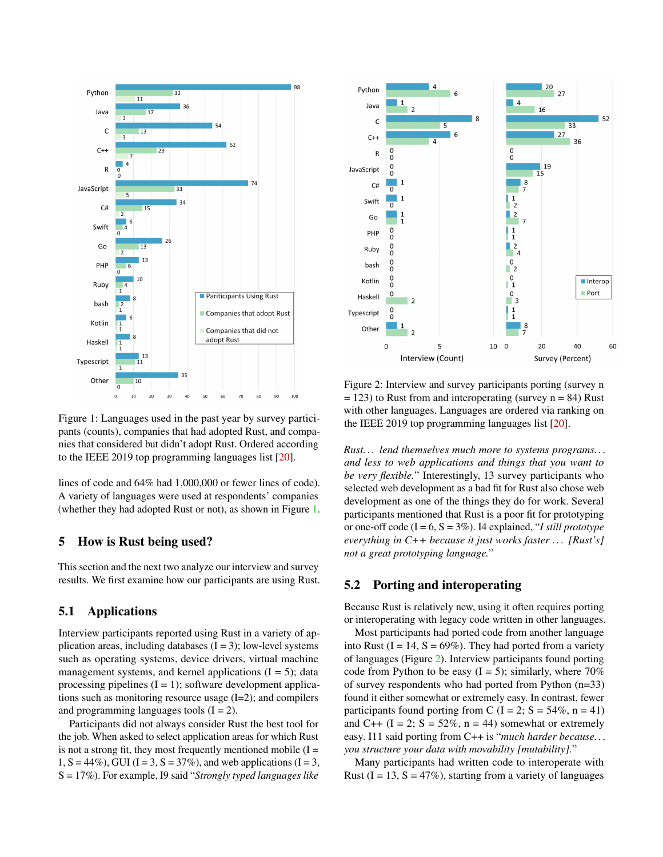<span id="page-5-0"></span>

Figure 1: Languages used in the past year by survey participants (counts), companies that had adopted Rust, and companies that considered but didn't adopt Rust. Ordered according to the IEEE 2019 top programming languages list [\[20\]](#page-12-13).

lines of code and 64% had 1,000,000 or fewer lines of code). A variety of languages were used at respondents' companies (whether they had adopted Rust or not), as shown in Figure [1.](#page-5-0)

### 5 How is Rust being used?

This section and the next two analyze our interview and survey results. We first examine how our participants are using Rust.

## 5.1 Applications

Interview participants reported using Rust in a variety of application areas, including databases  $(I = 3)$ ; low-level systems such as operating systems, device drivers, virtual machine management systems, and kernel applications  $(I = 5)$ ; data processing pipelines  $(I = 1)$ ; software development applications such as monitoring resource usage (I=2); and compilers and programming languages tools  $(I = 2)$ .

Participants did not always consider Rust the best tool for the job. When asked to select application areas for which Rust is not a strong fit, they most frequently mentioned mobile  $(I =$  $1, S = 44\%$ ), GUI (I = 3, S = 37%), and web applications (I = 3, S = 17%). For example, I9 said "*Strongly typed languages like*

<span id="page-5-1"></span>

Figure 2: Interview and survey participants porting (survey n  $= 123$ ) to Rust from and interoperating (survey  $n = 84$ ) Rust with other languages. Languages are ordered via ranking on the IEEE 2019 top programming languages list [\[20\]](#page-12-13).

*Rust. . . lend themselves much more to systems programs. . . and less to web applications and things that you want to be very flexible.*" Interestingly, 13 survey participants who selected web development as a bad fit for Rust also chose web development as one of the things they do for work. Several participants mentioned that Rust is a poor fit for prototyping or one-off code  $(I = 6, S = 3\%)$ . I4 explained, "*I still prototype everything in C++ because it just works faster . . . [Rust's] not a great prototyping language.*"

#### 5.2 Porting and interoperating

Because Rust is relatively new, using it often requires porting or interoperating with legacy code written in other languages.

Most participants had ported code from another language into Rust  $(I = 14, S = 69\%)$ . They had ported from a variety of languages (Figure [2\)](#page-5-1). Interview participants found porting code from Python to be easy  $(I = 5)$ ; similarly, where 70% of survey respondents who had ported from Python (n=33) found it either somewhat or extremely easy. In contrast, fewer participants found porting from C (I = 2; S =  $54\%$ , n = 41) and C++  $(I = 2; S = 52\%, n = 44)$  somewhat or extremely easy. I11 said porting from C++ is "*much harder because. . . you structure your data with movability [mutability].*"

Many participants had written code to interoperate with Rust  $(I = 13, S = 47\%)$ , starting from a variety of languages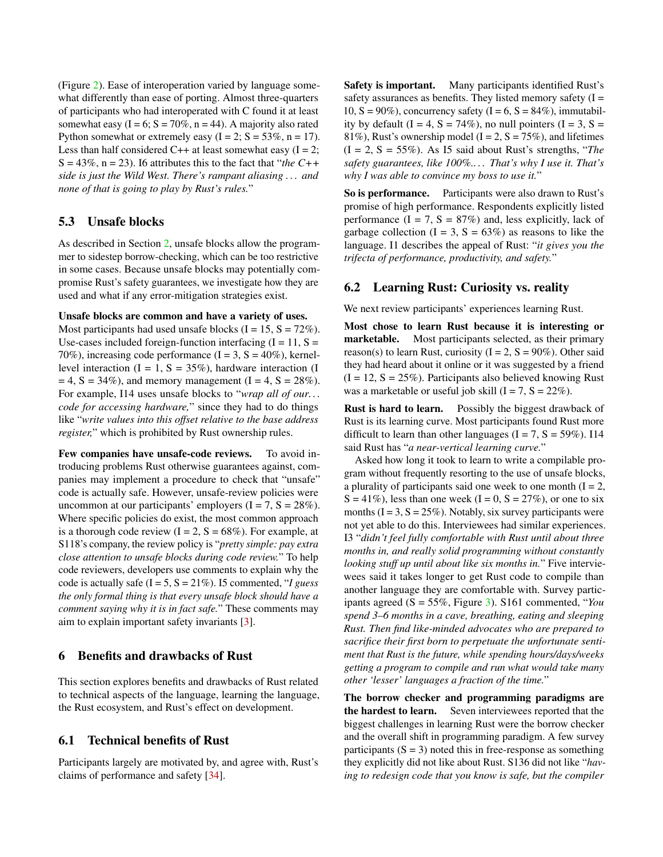(Figure [2\)](#page-5-1). Ease of interoperation varied by language somewhat differently than ease of porting. Almost three-quarters of participants who had interoperated with C found it at least somewhat easy  $(I = 6; S = 70\%, n = 44)$ . A majority also rated Python somewhat or extremely easy  $(I = 2; S = 53\%, n = 17)$ . Less than half considered C++ at least somewhat easy  $(I = 2;$  $S = 43\%$ ,  $n = 23$ ). If attributes this to the fact that "*the C*++ *side is just the Wild West. There's rampant aliasing . . . and none of that is going to play by Rust's rules.*"

# 5.3 Unsafe blocks

As described in Section [2,](#page-1-0) unsafe blocks allow the programmer to sidestep borrow-checking, which can be too restrictive in some cases. Because unsafe blocks may potentially compromise Rust's safety guarantees, we investigate how they are used and what if any error-mitigation strategies exist.

### Unsafe blocks are common and have a variety of uses.

Most participants had used unsafe blocks  $(I = 15, S = 72\%)$ . Use-cases included foreign-function interfacing  $(I = 11, S =$ 70%), increasing code performance  $(I = 3, S = 40\%)$ , kernellevel interaction  $(I = 1, S = 35\%)$ , hardware interaction (I)  $= 4$ , S = 34%), and memory management (I = 4, S = 28%). For example, I14 uses unsafe blocks to "*wrap all of our. . . code for accessing hardware,*" since they had to do things like "*write values into this offset relative to the base address register,*" which is prohibited by Rust ownership rules.

Few companies have unsafe-code reviews. To avoid introducing problems Rust otherwise guarantees against, companies may implement a procedure to check that "unsafe" code is actually safe. However, unsafe-review policies were uncommon at our participants' employers  $(I = 7, S = 28\%)$ . Where specific policies do exist, the most common approach is a thorough code review  $(I = 2, S = 68\%)$ . For example, at S118's company, the review policy is "*pretty simple: pay extra close attention to unsafe blocks during code review.*" To help code reviewers, developers use comments to explain why the code is actually safe (I = 5, S = 21%). I5 commented, "*I guess the only formal thing is that every unsafe block should have a comment saying why it is in fact safe.*" These comments may aim to explain important safety invariants [\[3\]](#page-12-14).

# 6 Benefits and drawbacks of Rust

This section explores benefits and drawbacks of Rust related to technical aspects of the language, learning the language, the Rust ecosystem, and Rust's effect on development.

# 6.1 Technical benefits of Rust

Participants largely are motivated by, and agree with, Rust's claims of performance and safety [\[34\]](#page-13-8).

Safety is important. Many participants identified Rust's safety assurances as benefits. They listed memory safety  $(I =$ 10,  $S = 90\%$ ), concurrency safety (I = 6, S = 84%), immutability by default  $(I = 4, S = 74\%)$ , no null pointers  $(I = 3, S =$ 81%), Rust's ownership model (I = 2, S = 75%), and lifetimes  $(I = 2, S = 55\%)$ . As I5 said about Rust's strengths, "*The safety guarantees, like 100%.. . . That's why I use it. That's why I was able to convince my boss to use it.*"

So is performance. Participants were also drawn to Rust's promise of high performance. Respondents explicitly listed performance  $(I = 7, S = 87%)$  and, less explicitly, lack of garbage collection  $(I = 3, S = 63\%)$  as reasons to like the language. I1 describes the appeal of Rust: "*it gives you the trifecta of performance, productivity, and safety.*"

# <span id="page-6-0"></span>6.2 Learning Rust: Curiosity vs. reality

We next review participants' experiences learning Rust.

Most chose to learn Rust because it is interesting or marketable. Most participants selected, as their primary reason(s) to learn Rust, curiosity ( $I = 2$ ,  $S = 90\%$ ). Other said they had heard about it online or it was suggested by a friend  $(I = 12, S = 25\%)$ . Participants also believed knowing Rust was a marketable or useful job skill  $(I = 7, S = 22\%)$ .

Rust is hard to learn. Possibly the biggest drawback of Rust is its learning curve. Most participants found Rust more difficult to learn than other languages  $(I = 7, S = 59\%)$ . I14 said Rust has "*a near-vertical learning curve.*"

Asked how long it took to learn to write a compilable program without frequently resorting to the use of unsafe blocks, a plurality of participants said one week to one month  $(I = 2)$ ,  $S = 41\%$ ), less than one week  $(I = 0, S = 27\%)$ , or one to six months  $(I = 3, S = 25\%)$ . Notably, six survey participants were not yet able to do this. Interviewees had similar experiences. I3 "*didn't feel fully comfortable with Rust until about three months in, and really solid programming without constantly looking stuff up until about like six months in.*" Five interviewees said it takes longer to get Rust code to compile than another language they are comfortable with. Survey participants agreed (S = 55%, Figure [3\)](#page-7-0). S161 commented, "*You spend 3–6 months in a cave, breathing, eating and sleeping Rust. Then find like-minded advocates who are prepared to sacrifice their first born to perpetuate the unfortunate sentiment that Rust is the future, while spending hours/days/weeks getting a program to compile and run what would take many other 'lesser' languages a fraction of the time.*"

The borrow checker and programming paradigms are the hardest to learn. Seven interviewees reported that the biggest challenges in learning Rust were the borrow checker and the overall shift in programming paradigm. A few survey participants  $(S = 3)$  noted this in free-response as something they explicitly did not like about Rust. S136 did not like "*having to redesign code that you know is safe, but the compiler*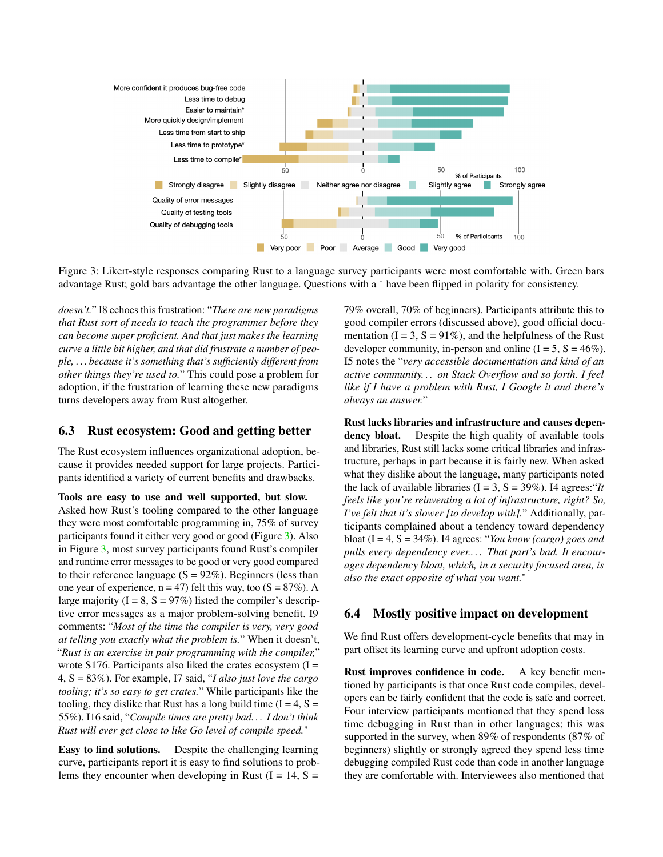<span id="page-7-0"></span>

Figure 3: Likert-style responses comparing Rust to a language survey participants were most comfortable with. Green bars advantage Rust; gold bars advantage the other language. Questions with a <sup>∗</sup> have been flipped in polarity for consistency.

*doesn't.*" I8 echoes this frustration: "*There are new paradigms that Rust sort of needs to teach the programmer before they can become super proficient. And that just makes the learning curve a little bit higher, and that did frustrate a number of people, . . . because it's something that's sufficiently different from other things they're used to.*" This could pose a problem for adoption, if the frustration of learning these new paradigms turns developers away from Rust altogether.

### 6.3 Rust ecosystem: Good and getting better

The Rust ecosystem influences organizational adoption, because it provides needed support for large projects. Participants identified a variety of current benefits and drawbacks.

Tools are easy to use and well supported, but slow.

Asked how Rust's tooling compared to the other language they were most comfortable programming in, 75% of survey participants found it either very good or good (Figure [3\)](#page-7-0). Also in Figure [3,](#page-7-0) most survey participants found Rust's compiler and runtime error messages to be good or very good compared to their reference language  $(S = 92\%)$ . Beginners (less than one year of experience,  $n = 47$ ) felt this way, too (S = 87%). A large majority  $(I = 8, S = 97\%)$  listed the compiler's descriptive error messages as a major problem-solving benefit. I9 comments: "*Most of the time the compiler is very, very good at telling you exactly what the problem is.*" When it doesn't, "*Rust is an exercise in pair programming with the compiler,*" wrote S176. Participants also liked the crates ecosystem  $(I =$ 4, S = 83%). For example, I7 said, "*I also just love the cargo tooling; it's so easy to get crates.*" While participants like the tooling, they dislike that Rust has a long build time  $(I = 4, S =$ 55%). I16 said, "*Compile times are pretty bad. . . I don't think Rust will ever get close to like Go level of compile speed.*"

Easy to find solutions. Despite the challenging learning curve, participants report it is easy to find solutions to problems they encounter when developing in Rust  $(I = 14, S =$ 

79% overall, 70% of beginners). Participants attribute this to good compiler errors (discussed above), good official documentation ( $I = 3$ ,  $S = 91\%$ ), and the helpfulness of the Rust developer community, in-person and online  $(I = 5, S = 46\%)$ . I5 notes the "*very accessible documentation and kind of an active community. . . on Stack Overflow and so forth. I feel like if I have a problem with Rust, I Google it and there's always an answer.*"

Rust lacks libraries and infrastructure and causes dependency bloat. Despite the high quality of available tools and libraries, Rust still lacks some critical libraries and infrastructure, perhaps in part because it is fairly new. When asked what they dislike about the language, many participants noted the lack of available libraries  $(I = 3, S = 39\%)$ . I4 agrees: "*It feels like you're reinventing a lot of infrastructure, right? So, I've felt that it's slower [to develop with].*" Additionally, participants complained about a tendency toward dependency bloat (I = 4, S = 34%). I4 agrees: "*You know (cargo) goes and pulls every dependency ever.. . . That part's bad. It encourages dependency bloat, which, in a security focused area, is also the exact opposite of what you want.*"

### 6.4 Mostly positive impact on development

We find Rust offers development-cycle benefits that may in part offset its learning curve and upfront adoption costs.

Rust improves confidence in code. A key benefit mentioned by participants is that once Rust code compiles, developers can be fairly confident that the code is safe and correct. Four interview participants mentioned that they spend less time debugging in Rust than in other languages; this was supported in the survey, when 89% of respondents (87% of beginners) slightly or strongly agreed they spend less time debugging compiled Rust code than code in another language they are comfortable with. Interviewees also mentioned that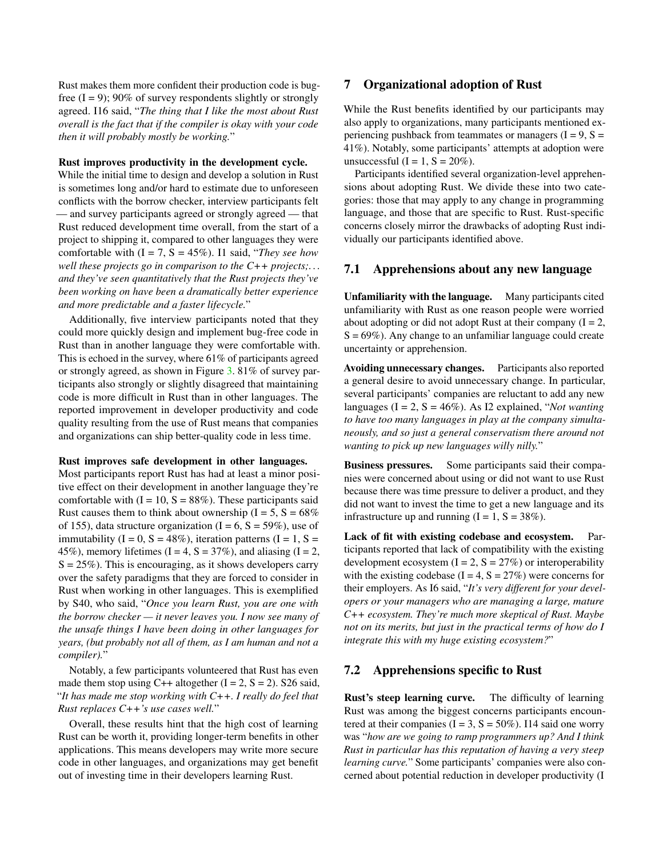Rust makes them more confident their production code is bugfree  $(I = 9)$ ; 90% of survey respondents slightly or strongly agreed. I16 said, "*The thing that I like the most about Rust overall is the fact that if the compiler is okay with your code then it will probably mostly be working.*"

#### Rust improves productivity in the development cycle.

While the initial time to design and develop a solution in Rust is sometimes long and/or hard to estimate due to unforeseen conflicts with the borrow checker, interview participants felt — and survey participants agreed or strongly agreed — that Rust reduced development time overall, from the start of a project to shipping it, compared to other languages they were comfortable with (I = 7, S = 45%). I1 said, "*They see how well these projects go in comparison to the C++ projects;. . . and they've seen quantitatively that the Rust projects they've been working on have been a dramatically better experience and more predictable and a faster lifecycle.*"

Additionally, five interview participants noted that they could more quickly design and implement bug-free code in Rust than in another language they were comfortable with. This is echoed in the survey, where 61% of participants agreed or strongly agreed, as shown in Figure [3.](#page-7-0) 81% of survey participants also strongly or slightly disagreed that maintaining code is more difficult in Rust than in other languages. The reported improvement in developer productivity and code quality resulting from the use of Rust means that companies and organizations can ship better-quality code in less time.

#### Rust improves safe development in other languages.

Most participants report Rust has had at least a minor positive effect on their development in another language they're comfortable with  $(I = 10, S = 88\%)$ . These participants said Rust causes them to think about ownership  $(I = 5, S = 68\%)$ of 155), data structure organization  $(I = 6, S = 59\%)$ , use of immutability  $(I = 0, S = 48\%)$ , iteration patterns  $(I = 1, S =$ 45%), memory lifetimes (I = 4, S =  $37\%$ ), and aliasing (I = 2,  $S = 25\%$ ). This is encouraging, as it shows developers carry over the safety paradigms that they are forced to consider in Rust when working in other languages. This is exemplified by S40, who said, "*Once you learn Rust, you are one with the borrow checker — it never leaves you. I now see many of the unsafe things I have been doing in other languages for years, (but probably not all of them, as I am human and not a compiler).*"

Notably, a few participants volunteered that Rust has even made them stop using C++ altogether  $(I = 2, S = 2)$ . S26 said, "*It has made me stop working with C++. I really do feel that Rust replaces C++'s use cases well.*"

Overall, these results hint that the high cost of learning Rust can be worth it, providing longer-term benefits in other applications. This means developers may write more secure code in other languages, and organizations may get benefit out of investing time in their developers learning Rust.

# 7 Organizational adoption of Rust

While the Rust benefits identified by our participants may also apply to organizations, many participants mentioned experiencing pushback from teammates or managers  $(I = 9, S =$ 41%). Notably, some participants' attempts at adoption were unsuccessful  $(I = 1, S = 20\%)$ .

Participants identified several organization-level apprehensions about adopting Rust. We divide these into two categories: those that may apply to any change in programming language, and those that are specific to Rust. Rust-specific concerns closely mirror the drawbacks of adopting Rust individually our participants identified above.

#### 7.1 Apprehensions about any new language

Unfamiliarity with the language. Many participants cited unfamiliarity with Rust as one reason people were worried about adopting or did not adopt Rust at their company  $(I = 2)$ ,  $S = 69\%$ ). Any change to an unfamiliar language could create uncertainty or apprehension.

Avoiding unnecessary changes. Participants also reported a general desire to avoid unnecessary change. In particular, several participants' companies are reluctant to add any new languages (I = 2, S = 46%). As I2 explained, "*Not wanting to have too many languages in play at the company simultaneously, and so just a general conservatism there around not wanting to pick up new languages willy nilly.*"

Business pressures. Some participants said their companies were concerned about using or did not want to use Rust because there was time pressure to deliver a product, and they did not want to invest the time to get a new language and its infrastructure up and running  $(I = 1, S = 38\%)$ .

Lack of fit with existing codebase and ecosystem. Participants reported that lack of compatibility with the existing development ecosystem  $(I = 2, S = 27\%)$  or interoperability with the existing codebase  $(I = 4, S = 27%)$  were concerns for their employers. As I6 said, "*It's very different for your developers or your managers who are managing a large, mature C++ ecosystem. They're much more skeptical of Rust. Maybe not on its merits, but just in the practical terms of how do I integrate this with my huge existing ecosystem?*"

#### <span id="page-8-0"></span>7.2 Apprehensions specific to Rust

Rust's steep learning curve. The difficulty of learning Rust was among the biggest concerns participants encountered at their companies ( $I = 3$ ,  $S = 50\%$ ). I14 said one worry was "*how are we going to ramp programmers up? And I think Rust in particular has this reputation of having a very steep learning curve.*" Some participants' companies were also concerned about potential reduction in developer productivity (I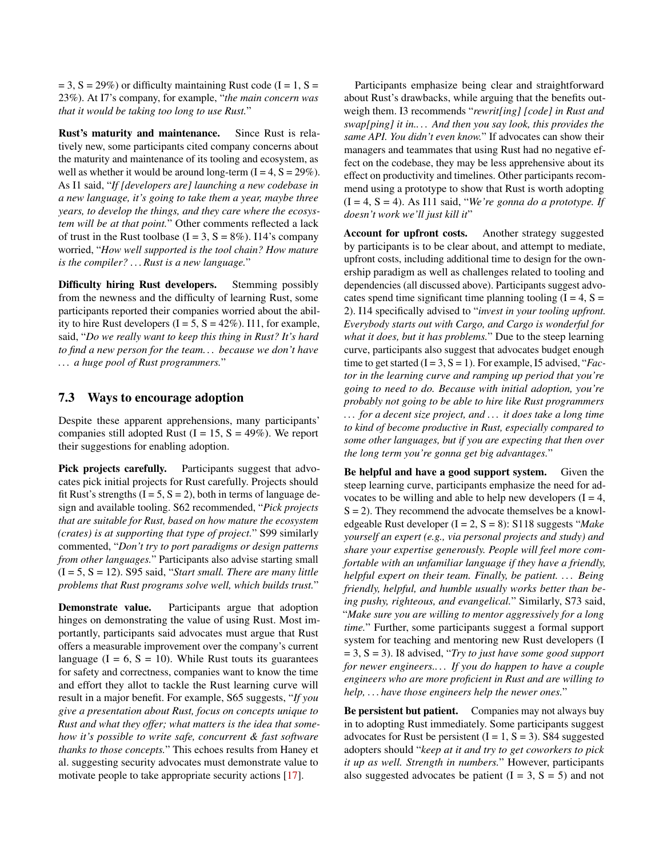$= 3$ ,  $S = 29\%$ ) or difficulty maintaining Rust code (I = 1, S = 23%). At I7's company, for example, "*the main concern was that it would be taking too long to use Rust.*"

Rust's maturity and maintenance. Since Rust is relatively new, some participants cited company concerns about the maturity and maintenance of its tooling and ecosystem, as well as whether it would be around long-term  $(I = 4, S = 29\%)$ . As I1 said, "*If [developers are] launching a new codebase in a new language, it's going to take them a year, maybe three years, to develop the things, and they care where the ecosystem will be at that point.*" Other comments reflected a lack of trust in the Rust toolbase  $(I = 3, S = 8\%)$ . I14's company worried, "*How well supported is the tool chain? How mature is the compiler? . . . Rust is a new language.*"

Difficulty hiring Rust developers. Stemming possibly from the newness and the difficulty of learning Rust, some participants reported their companies worried about the ability to hire Rust developers  $(I = 5, S = 42\%)$ . I11, for example, said, "*Do we really want to keep this thing in Rust? It's hard to find a new person for the team. . . because we don't have . . . a huge pool of Rust programmers.*"

# 7.3 Ways to encourage adoption

Despite these apparent apprehensions, many participants' companies still adopted Rust  $(I = 15, S = 49\%)$ . We report their suggestions for enabling adoption.

Pick projects carefully. Participants suggest that advocates pick initial projects for Rust carefully. Projects should fit Rust's strengths  $(I = 5, S = 2)$ , both in terms of language design and available tooling. S62 recommended, "*Pick projects that are suitable for Rust, based on how mature the ecosystem (crates) is at supporting that type of project.*" S99 similarly commented, "*Don't try to port paradigms or design patterns from other languages.*" Participants also advise starting small (I = 5, S = 12). S95 said, "*Start small. There are many little problems that Rust programs solve well, which builds trust.*"

Demonstrate value. Participants argue that adoption hinges on demonstrating the value of using Rust. Most importantly, participants said advocates must argue that Rust offers a measurable improvement over the company's current language ( $I = 6$ ,  $S = 10$ ). While Rust touts its guarantees for safety and correctness, companies want to know the time and effort they allot to tackle the Rust learning curve will result in a major benefit. For example, S65 suggests, "*If you give a presentation about Rust, focus on concepts unique to Rust and what they offer; what matters is the idea that somehow it's possible to write safe, concurrent & fast software thanks to those concepts.*" This echoes results from Haney et al. suggesting security advocates must demonstrate value to motivate people to take appropriate security actions [\[17\]](#page-12-15).

Participants emphasize being clear and straightforward about Rust's drawbacks, while arguing that the benefits outweigh them. I3 recommends "*rewrit[ing] [code] in Rust and swap[ping] it in.. . . And then you say look, this provides the same API. You didn't even know.*" If advocates can show their managers and teammates that using Rust had no negative effect on the codebase, they may be less apprehensive about its effect on productivity and timelines. Other participants recommend using a prototype to show that Rust is worth adopting (I = 4, S = 4). As I11 said, "*We're gonna do a prototype. If doesn't work we'll just kill it*"

Account for upfront costs. Another strategy suggested by participants is to be clear about, and attempt to mediate, upfront costs, including additional time to design for the ownership paradigm as well as challenges related to tooling and dependencies (all discussed above). Participants suggest advocates spend time significant time planning tooling  $(I = 4, S =$ 2). I14 specifically advised to "*invest in your tooling upfront. Everybody starts out with Cargo, and Cargo is wonderful for what it does, but it has problems.*" Due to the steep learning curve, participants also suggest that advocates budget enough time to get started  $(I = 3, S = 1)$ . For example, I5 advised, "*Factor in the learning curve and ramping up period that you're going to need to do. Because with initial adoption, you're probably not going to be able to hire like Rust programmers . . . for a decent size project, and . . . it does take a long time to kind of become productive in Rust, especially compared to some other languages, but if you are expecting that then over the long term you're gonna get big advantages.*"

Be helpful and have a good support system. Given the steep learning curve, participants emphasize the need for advocates to be willing and able to help new developers  $(I = 4,$  $S = 2$ ). They recommend the advocate themselves be a knowledgeable Rust developer (I = 2, S = 8): S118 suggests "*Make yourself an expert (e.g., via personal projects and study) and share your expertise generously. People will feel more comfortable with an unfamiliar language if they have a friendly, helpful expert on their team. Finally, be patient. . . . Being friendly, helpful, and humble usually works better than being pushy, righteous, and evangelical.*" Similarly, S73 said, "*Make sure you are willing to mentor aggressively for a long time.*" Further, some participants suggest a formal support system for teaching and mentoring new Rust developers (I = 3, S = 3). I8 advised, "*Try to just have some good support for newer engineers.. . . If you do happen to have a couple engineers who are more proficient in Rust and are willing to help, . . . have those engineers help the newer ones.*"

Be persistent but patient. Companies may not always buy in to adopting Rust immediately. Some participants suggest advocates for Rust be persistent  $(I = 1, S = 3)$ . S84 suggested adopters should "*keep at it and try to get coworkers to pick it up as well. Strength in numbers.*" However, participants also suggested advocates be patient  $(I = 3, S = 5)$  and not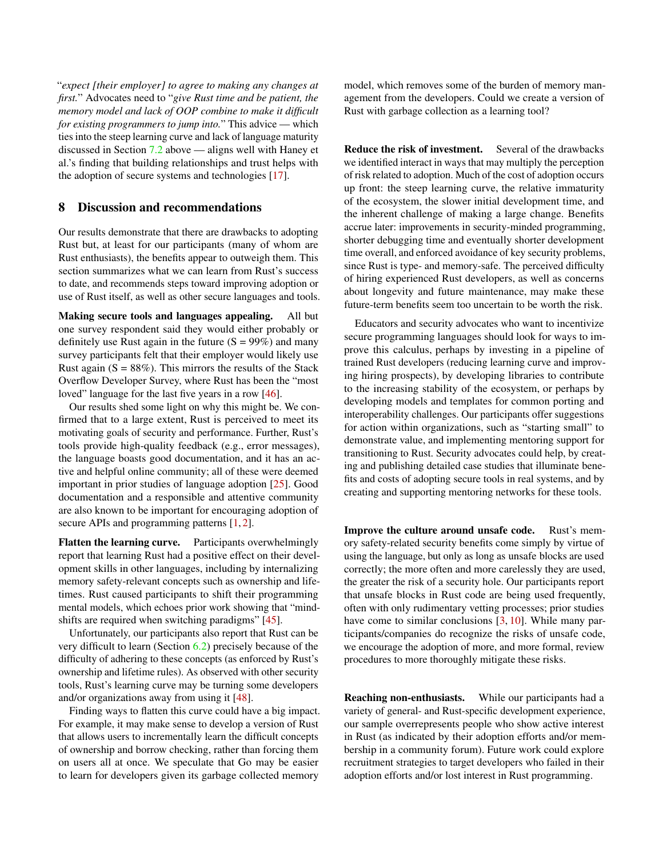"*expect [their employer] to agree to making any changes at first.*" Advocates need to "*give Rust time and be patient, the memory model and lack of OOP combine to make it difficult for existing programmers to jump into.*" This advice — which ties into the steep learning curve and lack of language maturity discussed in Section [7.2](#page-8-0) above — aligns well with Haney et al.'s finding that building relationships and trust helps with the adoption of secure systems and technologies [\[17\]](#page-12-15).

# 8 Discussion and recommendations

Our results demonstrate that there are drawbacks to adopting Rust but, at least for our participants (many of whom are Rust enthusiasts), the benefits appear to outweigh them. This section summarizes what we can learn from Rust's success to date, and recommends steps toward improving adoption or use of Rust itself, as well as other secure languages and tools.

Making secure tools and languages appealing. All but one survey respondent said they would either probably or definitely use Rust again in the future  $(S = 99\%)$  and many survey participants felt that their employer would likely use Rust again  $(S = 88\%)$ . This mirrors the results of the Stack Overflow Developer Survey, where Rust has been the "most loved" language for the last five years in a row [\[46\]](#page-13-11).

Our results shed some light on why this might be. We confirmed that to a large extent, Rust is perceived to meet its motivating goals of security and performance. Further, Rust's tools provide high-quality feedback (e.g., error messages), the language boasts good documentation, and it has an active and helpful online community; all of these were deemed important in prior studies of language adoption [\[25\]](#page-13-16). Good documentation and a responsible and attentive community are also known to be important for encouraging adoption of secure APIs and programming patterns [\[1,](#page-12-16) [2\]](#page-12-17).

Flatten the learning curve. Participants overwhelmingly report that learning Rust had a positive effect on their development skills in other languages, including by internalizing memory safety-relevant concepts such as ownership and lifetimes. Rust caused participants to shift their programming mental models, which echoes prior work showing that "mindshifts are required when switching paradigms" [\[45\]](#page-13-17).

Unfortunately, our participants also report that Rust can be very difficult to learn (Section [6.2\)](#page-6-0) precisely because of the difficulty of adhering to these concepts (as enforced by Rust's ownership and lifetime rules). As observed with other security tools, Rust's learning curve may be turning some developers and/or organizations away from using it [\[48\]](#page-14-1).

Finding ways to flatten this curve could have a big impact. For example, it may make sense to develop a version of Rust that allows users to incrementally learn the difficult concepts of ownership and borrow checking, rather than forcing them on users all at once. We speculate that Go may be easier to learn for developers given its garbage collected memory

model, which removes some of the burden of memory management from the developers. Could we create a version of Rust with garbage collection as a learning tool?

Reduce the risk of investment. Several of the drawbacks we identified interact in ways that may multiply the perception of risk related to adoption. Much of the cost of adoption occurs up front: the steep learning curve, the relative immaturity of the ecosystem, the slower initial development time, and the inherent challenge of making a large change. Benefits accrue later: improvements in security-minded programming, shorter debugging time and eventually shorter development time overall, and enforced avoidance of key security problems, since Rust is type- and memory-safe. The perceived difficulty of hiring experienced Rust developers, as well as concerns about longevity and future maintenance, may make these future-term benefits seem too uncertain to be worth the risk.

Educators and security advocates who want to incentivize secure programming languages should look for ways to improve this calculus, perhaps by investing in a pipeline of trained Rust developers (reducing learning curve and improving hiring prospects), by developing libraries to contribute to the increasing stability of the ecosystem, or perhaps by developing models and templates for common porting and interoperability challenges. Our participants offer suggestions for action within organizations, such as "starting small" to demonstrate value, and implementing mentoring support for transitioning to Rust. Security advocates could help, by creating and publishing detailed case studies that illuminate benefits and costs of adopting secure tools in real systems, and by creating and supporting mentoring networks for these tools.

Improve the culture around unsafe code. Rust's memory safety-related security benefits come simply by virtue of using the language, but only as long as unsafe blocks are used correctly; the more often and more carelessly they are used, the greater the risk of a security hole. Our participants report that unsafe blocks in Rust code are being used frequently, often with only rudimentary vetting processes; prior studies have come to similar conclusions [\[3,](#page-12-14) [10\]](#page-12-18). While many participants/companies do recognize the risks of unsafe code, we encourage the adoption of more, and more formal, review procedures to more thoroughly mitigate these risks.

Reaching non-enthusiasts. While our participants had a variety of general- and Rust-specific development experience, our sample overrepresents people who show active interest in Rust (as indicated by their adoption efforts and/or membership in a community forum). Future work could explore recruitment strategies to target developers who failed in their adoption efforts and/or lost interest in Rust programming.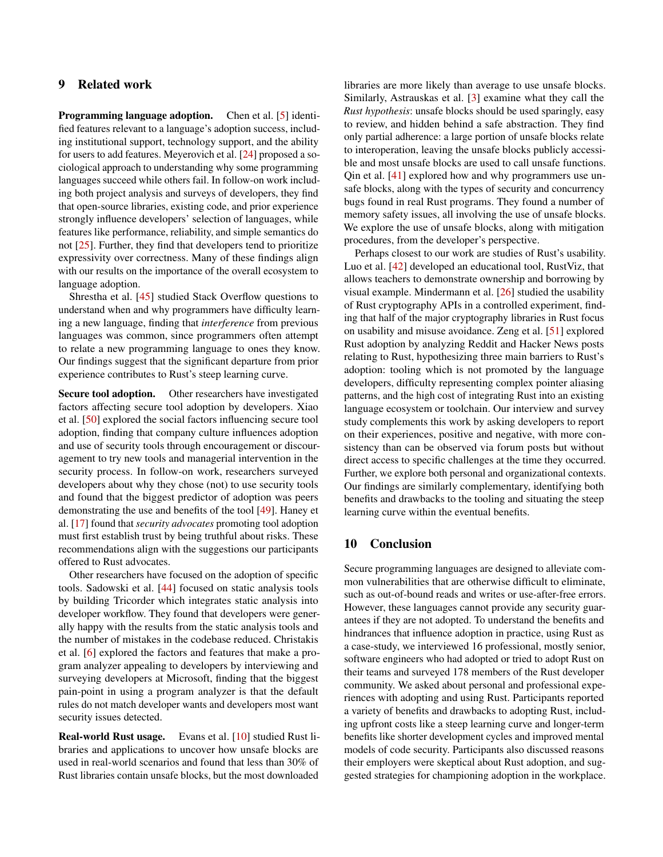# 9 Related work

Programming language adoption. Chen et al. [\[5\]](#page-12-19) identified features relevant to a language's adoption success, including institutional support, technology support, and the ability for users to add features. Meyerovich et al. [\[24\]](#page-13-18) proposed a sociological approach to understanding why some programming languages succeed while others fail. In follow-on work including both project analysis and surveys of developers, they find that open-source libraries, existing code, and prior experience strongly influence developers' selection of languages, while features like performance, reliability, and simple semantics do not [\[25\]](#page-13-16). Further, they find that developers tend to prioritize expressivity over correctness. Many of these findings align with our results on the importance of the overall ecosystem to language adoption.

Shrestha et al. [\[45\]](#page-13-17) studied Stack Overflow questions to understand when and why programmers have difficulty learning a new language, finding that *interference* from previous languages was common, since programmers often attempt to relate a new programming language to ones they know. Our findings suggest that the significant departure from prior experience contributes to Rust's steep learning curve.

Secure tool adoption. Other researchers have investigated factors affecting secure tool adoption by developers. Xiao et al. [\[50\]](#page-14-2) explored the social factors influencing secure tool adoption, finding that company culture influences adoption and use of security tools through encouragement or discouragement to try new tools and managerial intervention in the security process. In follow-on work, researchers surveyed developers about why they chose (not) to use security tools and found that the biggest predictor of adoption was peers demonstrating the use and benefits of the tool [\[49\]](#page-14-3). Haney et al. [\[17\]](#page-12-15) found that *security advocates* promoting tool adoption must first establish trust by being truthful about risks. These recommendations align with the suggestions our participants offered to Rust advocates.

Other researchers have focused on the adoption of specific tools. Sadowski et al. [\[44\]](#page-13-19) focused on static analysis tools by building Tricorder which integrates static analysis into developer workflow. They found that developers were generally happy with the results from the static analysis tools and the number of mistakes in the codebase reduced. Christakis et al. [\[6\]](#page-12-20) explored the factors and features that make a program analyzer appealing to developers by interviewing and surveying developers at Microsoft, finding that the biggest pain-point in using a program analyzer is that the default rules do not match developer wants and developers most want security issues detected.

Real-world Rust usage. Evans et al. [\[10\]](#page-12-18) studied Rust libraries and applications to uncover how unsafe blocks are used in real-world scenarios and found that less than 30% of Rust libraries contain unsafe blocks, but the most downloaded

libraries are more likely than average to use unsafe blocks. Similarly, Astrauskas et al. [\[3\]](#page-12-14) examine what they call the *Rust hypothesis*: unsafe blocks should be used sparingly, easy to review, and hidden behind a safe abstraction. They find only partial adherence: a large portion of unsafe blocks relate to interoperation, leaving the unsafe blocks publicly accessible and most unsafe blocks are used to call unsafe functions. Qin et al. [\[41\]](#page-13-20) explored how and why programmers use unsafe blocks, along with the types of security and concurrency bugs found in real Rust programs. They found a number of memory safety issues, all involving the use of unsafe blocks. We explore the use of unsafe blocks, along with mitigation procedures, from the developer's perspective.

Perhaps closest to our work are studies of Rust's usability. Luo et al. [\[42\]](#page-13-21) developed an educational tool, RustViz, that allows teachers to demonstrate ownership and borrowing by visual example. Mindermann et al. [\[26\]](#page-13-22) studied the usability of Rust cryptography APIs in a controlled experiment, finding that half of the major cryptography libraries in Rust focus on usability and misuse avoidance. Zeng et al. [\[51\]](#page-14-4) explored Rust adoption by analyzing Reddit and Hacker News posts relating to Rust, hypothesizing three main barriers to Rust's adoption: tooling which is not promoted by the language developers, difficulty representing complex pointer aliasing patterns, and the high cost of integrating Rust into an existing language ecosystem or toolchain. Our interview and survey study complements this work by asking developers to report on their experiences, positive and negative, with more consistency than can be observed via forum posts but without direct access to specific challenges at the time they occurred. Further, we explore both personal and organizational contexts. Our findings are similarly complementary, identifying both benefits and drawbacks to the tooling and situating the steep learning curve within the eventual benefits.

### 10 Conclusion

Secure programming languages are designed to alleviate common vulnerabilities that are otherwise difficult to eliminate, such as out-of-bound reads and writes or use-after-free errors. However, these languages cannot provide any security guarantees if they are not adopted. To understand the benefits and hindrances that influence adoption in practice, using Rust as a case-study, we interviewed 16 professional, mostly senior, software engineers who had adopted or tried to adopt Rust on their teams and surveyed 178 members of the Rust developer community. We asked about personal and professional experiences with adopting and using Rust. Participants reported a variety of benefits and drawbacks to adopting Rust, including upfront costs like a steep learning curve and longer-term benefits like shorter development cycles and improved mental models of code security. Participants also discussed reasons their employers were skeptical about Rust adoption, and suggested strategies for championing adoption in the workplace.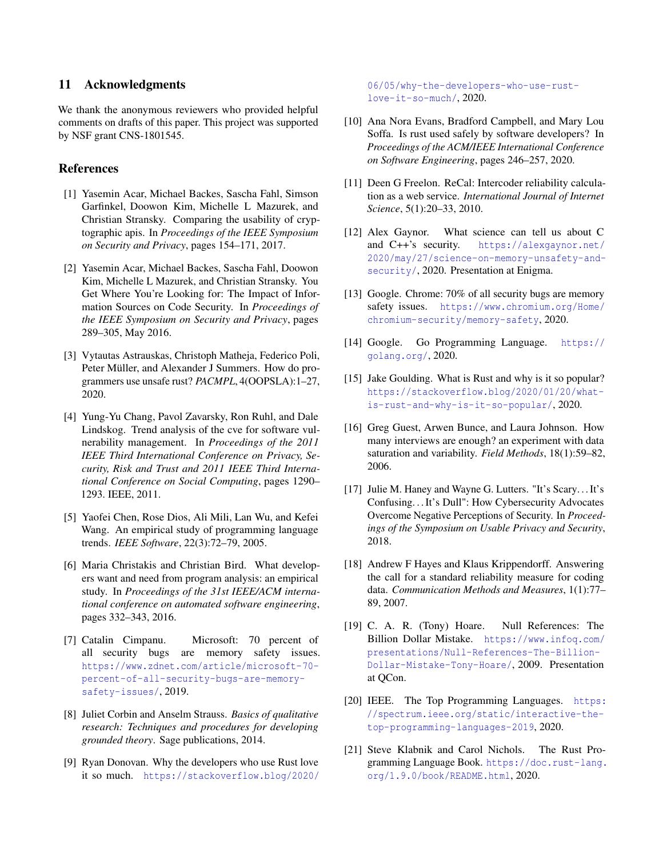### 11 Acknowledgments

We thank the anonymous reviewers who provided helpful comments on drafts of this paper. This project was supported by NSF grant CNS-1801545.

### References

- <span id="page-12-16"></span>[1] Yasemin Acar, Michael Backes, Sascha Fahl, Simson Garfinkel, Doowon Kim, Michelle L Mazurek, and Christian Stransky. Comparing the usability of cryptographic apis. In *Proceedings of the IEEE Symposium on Security and Privacy*, pages 154–171, 2017.
- <span id="page-12-17"></span>[2] Yasemin Acar, Michael Backes, Sascha Fahl, Doowon Kim, Michelle L Mazurek, and Christian Stransky. You Get Where You're Looking for: The Impact of Information Sources on Code Security. In *Proceedings of the IEEE Symposium on Security and Privacy*, pages 289–305, May 2016.
- <span id="page-12-14"></span>[3] Vytautas Astrauskas, Christoph Matheja, Federico Poli, Peter Müller, and Alexander J Summers. How do programmers use unsafe rust? *PACMPL*, 4(OOPSLA):1–27, 2020.
- <span id="page-12-0"></span>[4] Yung-Yu Chang, Pavol Zavarsky, Ron Ruhl, and Dale Lindskog. Trend analysis of the cve for software vulnerability management. In *Proceedings of the 2011 IEEE Third International Conference on Privacy, Security, Risk and Trust and 2011 IEEE Third International Conference on Social Computing*, pages 1290– 1293. IEEE, 2011.
- <span id="page-12-19"></span>[5] Yaofei Chen, Rose Dios, Ali Mili, Lan Wu, and Kefei Wang. An empirical study of programming language trends. *IEEE Software*, 22(3):72–79, 2005.
- <span id="page-12-20"></span>[6] Maria Christakis and Christian Bird. What developers want and need from program analysis: an empirical study. In *Proceedings of the 31st IEEE/ACM international conference on automated software engineering*, pages 332–343, 2016.
- <span id="page-12-2"></span>[7] Catalin Cimpanu. Microsoft: 70 percent of all security bugs are memory safety issues. [https://www.zdnet.com/article/microsoft-70](https://www.zdnet.com/article/microsoft-70-percent-of-all-security-bugs-are-memory-safety-issues/) [percent-of-all-security-bugs-are-memory](https://www.zdnet.com/article/microsoft-70-percent-of-all-security-bugs-are-memory-safety-issues/)[safety-issues/](https://www.zdnet.com/article/microsoft-70-percent-of-all-security-bugs-are-memory-safety-issues/), 2019.
- <span id="page-12-10"></span>[8] Juliet Corbin and Anselm Strauss. *Basics of qualitative research: Techniques and procedures for developing grounded theory*. Sage publications, 2014.
- <span id="page-12-5"></span>[9] Ryan Donovan. Why the developers who use Rust love it so much. [https://stackoverflow.blog/2020/](https://stackoverflow.blog/2020/06/05/why-the-developers-who-use-rust-love-it-so-much/)

[06/05/why-the-developers-who-use-rust](https://stackoverflow.blog/2020/06/05/why-the-developers-who-use-rust-love-it-so-much/)[love-it-so-much/](https://stackoverflow.blog/2020/06/05/why-the-developers-who-use-rust-love-it-so-much/), 2020.

- <span id="page-12-18"></span>[10] Ana Nora Evans, Bradford Campbell, and Mary Lou Soffa. Is rust used safely by software developers? In *Proceedings of the ACM/IEEE International Conference on Software Engineering*, pages 246–257, 2020.
- <span id="page-12-11"></span>[11] Deen G Freelon. ReCal: Intercoder reliability calculation as a web service. *International Journal of Internet Science*, 5(1):20–33, 2010.
- <span id="page-12-3"></span>[12] Alex Gaynor. What science can tell us about C and C++'s security. [https://alexgaynor.net/](https://alexgaynor.net/2020/may/27/science-on-memory-unsafety-and-security/) [2020/may/27/science-on-memory-unsafety-and](https://alexgaynor.net/2020/may/27/science-on-memory-unsafety-and-security/)[security/](https://alexgaynor.net/2020/may/27/science-on-memory-unsafety-and-security/), 2020. Presentation at Enigma.
- <span id="page-12-1"></span>[13] Google. Chrome: 70% of all security bugs are memory safety issues. [https://www.chromium.org/Home/](https://www.chromium.org/Home/chromium-security/memory-safety) [chromium-security/memory-safety](https://www.chromium.org/Home/chromium-security/memory-safety), 2020.
- <span id="page-12-4"></span>[14] Google. Go Programming Language. [https://](https://golang.org/) [golang.org/](https://golang.org/), 2020.
- <span id="page-12-6"></span>[15] Jake Goulding. What is Rust and why is it so popular? [https://stackoverflow.blog/2020/01/20/what](https://stackoverflow.blog/2020/01/20/what-is-rust-and-why-is-it-so-popular/)[is-rust-and-why-is-it-so-popular/](https://stackoverflow.blog/2020/01/20/what-is-rust-and-why-is-it-so-popular/), 2020.
- <span id="page-12-9"></span>[16] Greg Guest, Arwen Bunce, and Laura Johnson. How many interviews are enough? an experiment with data saturation and variability. *Field Methods*, 18(1):59–82, 2006.
- <span id="page-12-15"></span>[17] Julie M. Haney and Wayne G. Lutters. "It's Scary... It's Confusing. . . It's Dull": How Cybersecurity Advocates Overcome Negative Perceptions of Security. In *Proceedings of the Symposium on Usable Privacy and Security*, 2018.
- <span id="page-12-12"></span>[18] Andrew F Hayes and Klaus Krippendorff. Answering the call for a standard reliability measure for coding data. *Communication Methods and Measures*, 1(1):77– 89, 2007.
- <span id="page-12-8"></span>[19] C. A. R. (Tony) Hoare. Null References: The Billion Dollar Mistake. [https://www.infoq.com/](https://www.infoq.com/presentations/Null-References-The-Billion-Dollar-Mistake-Tony-Hoare/) [presentations/Null-References-The-Billion-](https://www.infoq.com/presentations/Null-References-The-Billion-Dollar-Mistake-Tony-Hoare/)[Dollar-Mistake-Tony-Hoare/](https://www.infoq.com/presentations/Null-References-The-Billion-Dollar-Mistake-Tony-Hoare/), 2009. Presentation at QCon.
- <span id="page-12-13"></span>[20] IEEE. The Top Programming Languages. [https:](https://spectrum.ieee.org/static/interactive-the-top-programming-languages-2019) [//spectrum.ieee.org/static/interactive-the](https://spectrum.ieee.org/static/interactive-the-top-programming-languages-2019)[top-programming-languages-2019](https://spectrum.ieee.org/static/interactive-the-top-programming-languages-2019), 2020.
- <span id="page-12-7"></span>[21] Steve Klabnik and Carol Nichols. The Rust Programming Language Book. [https://doc.rust-lang.](https://doc.rust-lang.org/1.9.0/book/README.html) [org/1.9.0/book/README.html](https://doc.rust-lang.org/1.9.0/book/README.html), 2020.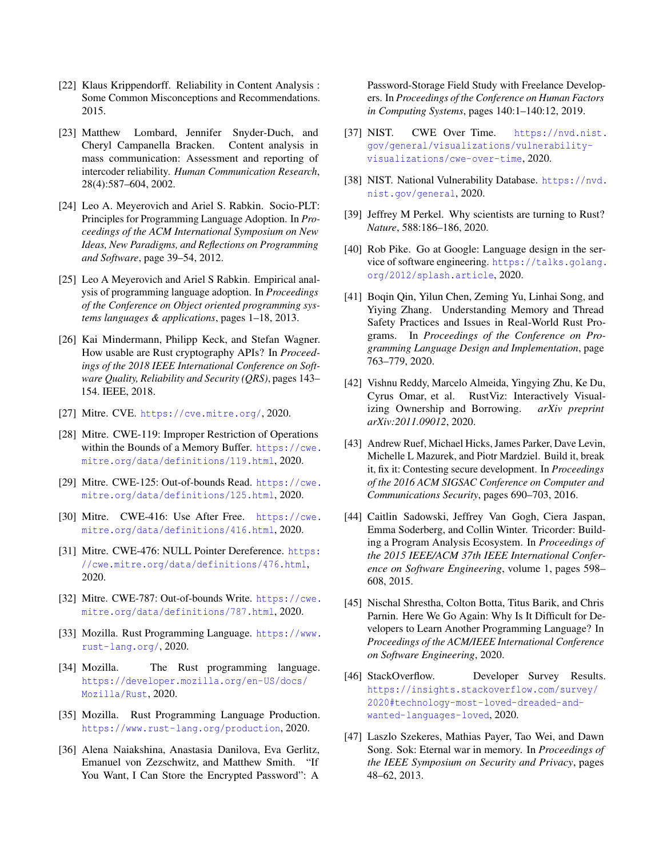- <span id="page-13-13"></span>[22] Klaus Krippendorff. Reliability in Content Analysis : Some Common Misconceptions and Recommendations. 2015.
- <span id="page-13-14"></span>[23] Matthew Lombard, Jennifer Snyder-Duch, and Cheryl Campanella Bracken. Content analysis in mass communication: Assessment and reporting of intercoder reliability. *Human Communication Research*, 28(4):587–604, 2002.
- <span id="page-13-18"></span>[24] Leo A. Meyerovich and Ariel S. Rabkin. Socio-PLT: Principles for Programming Language Adoption. In *Proceedings of the ACM International Symposium on New Ideas, New Paradigms, and Reflections on Programming and Software*, page 39–54, 2012.
- <span id="page-13-16"></span>[25] Leo A Meyerovich and Ariel S Rabkin. Empirical analysis of programming language adoption. In *Proceedings of the Conference on Object oriented programming systems languages & applications*, pages 1–18, 2013.
- <span id="page-13-22"></span>[26] Kai Mindermann, Philipp Keck, and Stefan Wagner. How usable are Rust cryptography APIs? In *Proceedings of the 2018 IEEE International Conference on Software Quality, Reliability and Security (QRS)*, pages 143– 154. IEEE, 2018.
- <span id="page-13-0"></span>[27] Mitre. CVE. <https://cve.mitre.org/>, 2020.
- <span id="page-13-2"></span>[28] Mitre. CWE-119: Improper Restriction of Operations within the Bounds of a Memory Buffer. [https://cwe.](https://cwe.mitre.org/data/definitions/119.html) [mitre.org/data/definitions/119.html](https://cwe.mitre.org/data/definitions/119.html), 2020.
- [29] Mitre. CWE-125: Out-of-bounds Read. [https://cwe.](https://cwe.mitre.org/data/definitions/125.html) [mitre.org/data/definitions/125.html](https://cwe.mitre.org/data/definitions/125.html), 2020.
- [30] Mitre. CWE-416: Use After Free. [https://cwe.](https://cwe.mitre.org/data/definitions/416.html) [mitre.org/data/definitions/416.html](https://cwe.mitre.org/data/definitions/416.html), 2020.
- [31] Mitre. CWE-476: NULL Pointer Dereference. [https:](https://cwe.mitre.org/data/definitions/476.html) [//cwe.mitre.org/data/definitions/476.html](https://cwe.mitre.org/data/definitions/476.html), 2020.
- <span id="page-13-3"></span>[32] Mitre. CWE-787: Out-of-bounds Write. [https://cwe.](https://cwe.mitre.org/data/definitions/787.html) [mitre.org/data/definitions/787.html](https://cwe.mitre.org/data/definitions/787.html), 2020.
- <span id="page-13-7"></span>[33] Mozilla. Rust Programming Language. [https://www.](https://www.rust-lang.org/) [rust-lang.org/](https://www.rust-lang.org/), 2020.
- <span id="page-13-8"></span>[34] Mozilla. The Rust programming language. [https://developer.mozilla.org/en-US/docs/](https://developer.mozilla.org/en-US/docs/Mozilla/Rust) [Mozilla/Rust](https://developer.mozilla.org/en-US/docs/Mozilla/Rust), 2020.
- <span id="page-13-12"></span>[35] Mozilla. Rust Programming Language Production. <https://www.rust-lang.org/production>, 2020.
- <span id="page-13-15"></span>[36] Alena Naiakshina, Anastasia Danilova, Eva Gerlitz, Emanuel von Zezschwitz, and Matthew Smith. "If You Want, I Can Store the Encrypted Password": A

Password-Storage Field Study with Freelance Developers. In *Proceedings of the Conference on Human Factors in Computing Systems*, pages 140:1–140:12, 2019.

- <span id="page-13-4"></span>[37] NIST. CWE Over Time. [https://nvd.nist.](https://nvd.nist.gov/general/visualizations/vulnerability-visualizations/cwe-over-time) [gov/general/visualizations/vulnerability](https://nvd.nist.gov/general/visualizations/vulnerability-visualizations/cwe-over-time)[visualizations/cwe-over-time](https://nvd.nist.gov/general/visualizations/vulnerability-visualizations/cwe-over-time), 2020.
- <span id="page-13-1"></span>[38] NIST. National Vulnerability Database. [https://nvd.](https://nvd.nist.gov/general) [nist.gov/general](https://nvd.nist.gov/general), 2020.
- <span id="page-13-10"></span>[39] Jeffrey M Perkel. Why scientists are turning to Rust? *Nature*, 588:186–186, 2020.
- <span id="page-13-9"></span>[40] Rob Pike. Go at Google: Language design in the service of software engineering. [https://talks.golang.](https://talks.golang.org/2012/splash.article) [org/2012/splash.article](https://talks.golang.org/2012/splash.article), 2020.
- <span id="page-13-20"></span>[41] Boqin Qin, Yilun Chen, Zeming Yu, Linhai Song, and Yiying Zhang. Understanding Memory and Thread Safety Practices and Issues in Real-World Rust Programs. In *Proceedings of the Conference on Programming Language Design and Implementation*, page 763–779, 2020.
- <span id="page-13-21"></span>[42] Vishnu Reddy, Marcelo Almeida, Yingying Zhu, Ke Du, Cyrus Omar, et al. RustViz: Interactively Visualizing Ownership and Borrowing. *arXiv preprint arXiv:2011.09012*, 2020.
- <span id="page-13-5"></span>[43] Andrew Ruef, Michael Hicks, James Parker, Dave Levin, Michelle L Mazurek, and Piotr Mardziel. Build it, break it, fix it: Contesting secure development. In *Proceedings of the 2016 ACM SIGSAC Conference on Computer and Communications Security*, pages 690–703, 2016.
- <span id="page-13-19"></span>[44] Caitlin Sadowski, Jeffrey Van Gogh, Ciera Jaspan, Emma Soderberg, and Collin Winter. Tricorder: Building a Program Analysis Ecosystem. In *Proceedings of the 2015 IEEE/ACM 37th IEEE International Conference on Software Engineering*, volume 1, pages 598– 608, 2015.
- <span id="page-13-17"></span>[45] Nischal Shrestha, Colton Botta, Titus Barik, and Chris Parnin. Here We Go Again: Why Is It Difficult for Developers to Learn Another Programming Language? In *Proceedings of the ACM/IEEE International Conference on Software Engineering*, 2020.
- <span id="page-13-11"></span>[46] StackOverflow. Developer Survey Results. [https://insights.stackoverflow.com/survey/](https://insights.stackoverflow.com/survey/2020#technology-most-loved-dreaded-and-wanted-languages-loved) [2020#technology-most-loved-dreaded-and](https://insights.stackoverflow.com/survey/2020#technology-most-loved-dreaded-and-wanted-languages-loved)[wanted-languages-loved](https://insights.stackoverflow.com/survey/2020#technology-most-loved-dreaded-and-wanted-languages-loved), 2020.
- <span id="page-13-6"></span>[47] Laszlo Szekeres, Mathias Payer, Tao Wei, and Dawn Song. Sok: Eternal war in memory. In *Proceedings of the IEEE Symposium on Security and Privacy*, pages 48–62, 2013.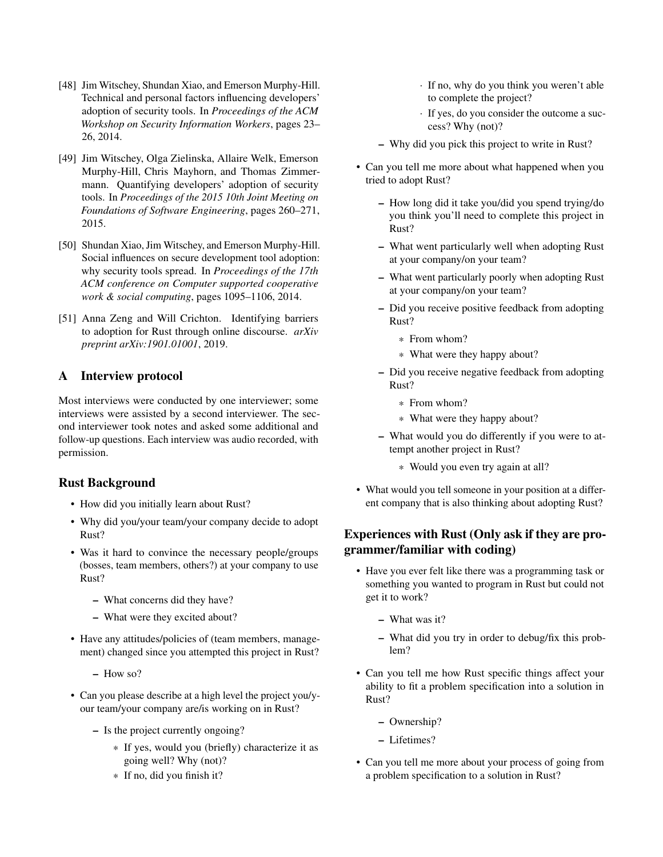- <span id="page-14-1"></span>[48] Jim Witschey, Shundan Xiao, and Emerson Murphy-Hill. Technical and personal factors influencing developers' adoption of security tools. In *Proceedings of the ACM Workshop on Security Information Workers*, pages 23– 26, 2014.
- <span id="page-14-3"></span>[49] Jim Witschey, Olga Zielinska, Allaire Welk, Emerson Murphy-Hill, Chris Mayhorn, and Thomas Zimmermann. Quantifying developers' adoption of security tools. In *Proceedings of the 2015 10th Joint Meeting on Foundations of Software Engineering*, pages 260–271, 2015.
- <span id="page-14-2"></span>[50] Shundan Xiao, Jim Witschey, and Emerson Murphy-Hill. Social influences on secure development tool adoption: why security tools spread. In *Proceedings of the 17th ACM conference on Computer supported cooperative work & social computing*, pages 1095–1106, 2014.
- <span id="page-14-4"></span>[51] Anna Zeng and Will Crichton. Identifying barriers to adoption for Rust through online discourse. *arXiv preprint arXiv:1901.01001*, 2019.

# <span id="page-14-0"></span>A Interview protocol

Most interviews were conducted by one interviewer; some interviews were assisted by a second interviewer. The second interviewer took notes and asked some additional and follow-up questions. Each interview was audio recorded, with permission.

# Rust Background

- How did you initially learn about Rust?
- Why did you/your team/your company decide to adopt Rust?
- Was it hard to convince the necessary people/groups (bosses, team members, others?) at your company to use Rust?
	- What concerns did they have?
	- What were they excited about?
- Have any attitudes/policies of (team members, management) changed since you attempted this project in Rust?

– How so?

- Can you please describe at a high level the project you/your team/your company are/is working on in Rust?
	- Is the project currently ongoing?
		- \* If yes, would you (briefly) characterize it as going well? Why (not)?
		- \* If no, did you finish it?
- · If no, why do you think you weren't able to complete the project?
- · If yes, do you consider the outcome a success? Why (not)?
- Why did you pick this project to write in Rust?
- Can you tell me more about what happened when you tried to adopt Rust?
	- How long did it take you/did you spend trying/do you think you'll need to complete this project in Rust?
	- What went particularly well when adopting Rust at your company/on your team?
	- What went particularly poorly when adopting Rust at your company/on your team?
	- Did you receive positive feedback from adopting Rust?
		- \* From whom?
		- \* What were they happy about?
	- Did you receive negative feedback from adopting Rust?
		- \* From whom?
		- \* What were they happy about?
	- What would you do differently if you were to attempt another project in Rust?
		- \* Would you even try again at all?
- What would you tell someone in your position at a different company that is also thinking about adopting Rust?

# Experiences with Rust (Only ask if they are programmer/familiar with coding)

- Have you ever felt like there was a programming task or something you wanted to program in Rust but could not get it to work?
	- What was it?
	- What did you try in order to debug/fix this problem?
- Can you tell me how Rust specific things affect your ability to fit a problem specification into a solution in Rust?
	- Ownership?
	- Lifetimes?
- Can you tell me more about your process of going from a problem specification to a solution in Rust?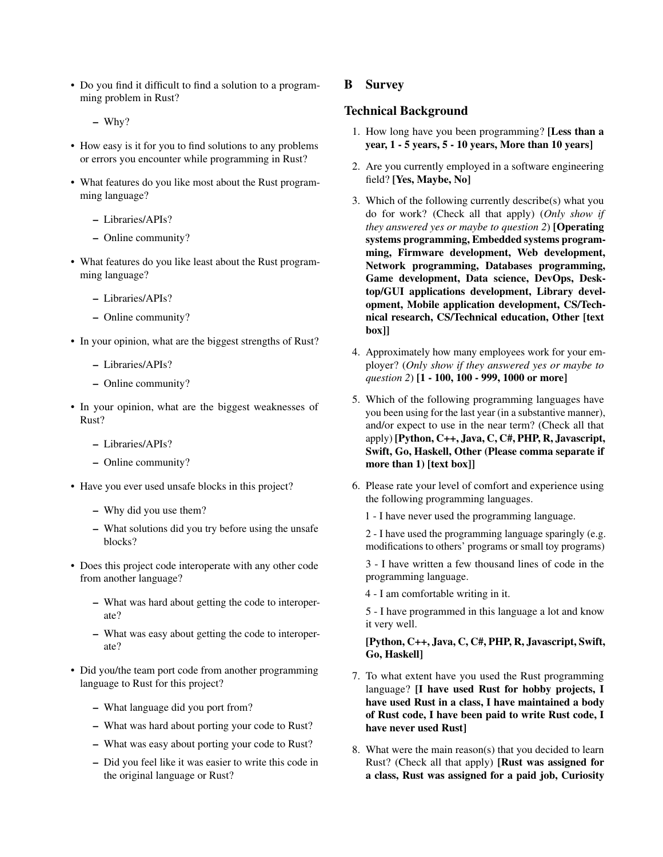• Do you find it difficult to find a solution to a programming problem in Rust?

– Why?

- How easy is it for you to find solutions to any problems or errors you encounter while programming in Rust?
- What features do you like most about the Rust programming language?
	- Libraries/APIs?
	- Online community?
- What features do you like least about the Rust programming language?
	- Libraries/APIs?
	- Online community?
- In your opinion, what are the biggest strengths of Rust?
	- Libraries/APIs?
	- Online community?
- In your opinion, what are the biggest weaknesses of Rust?
	- Libraries/APIs?
	- Online community?
- Have you ever used unsafe blocks in this project?
	- Why did you use them?
	- What solutions did you try before using the unsafe blocks?
- Does this project code interoperate with any other code from another language?
	- What was hard about getting the code to interoperate?
	- What was easy about getting the code to interoperate?
- Did you/the team port code from another programming language to Rust for this project?
	- What language did you port from?
	- What was hard about porting your code to Rust?
	- What was easy about porting your code to Rust?
	- Did you feel like it was easier to write this code in the original language or Rust?

### <span id="page-15-0"></span>B Survey

#### Technical Background

- 1. How long have you been programming? [Less than a year, 1 - 5 years, 5 - 10 years, More than 10 years]
- 2. Are you currently employed in a software engineering field? [Yes, Maybe, No]
- 3. Which of the following currently describe(s) what you do for work? (Check all that apply) (*Only show if they answered yes or maybe to question 2*) [Operating systems programming, Embedded systems programming, Firmware development, Web development, Network programming, Databases programming, Game development, Data science, DevOps, Desktop/GUI applications development, Library development, Mobile application development, CS/Technical research, CS/Technical education, Other [text box]]
- 4. Approximately how many employees work for your employer? (*Only show if they answered yes or maybe to question 2*) [1 - 100, 100 - 999, 1000 or more]
- 5. Which of the following programming languages have you been using for the last year (in a substantive manner), and/or expect to use in the near term? (Check all that apply) [Python, C++, Java, C, C#, PHP, R, Javascript, Swift, Go, Haskell, Other (Please comma separate if more than 1) [text box]]
- 6. Please rate your level of comfort and experience using the following programming languages.
	- 1 I have never used the programming language.

2 - I have used the programming language sparingly (e.g. modifications to others' programs or small toy programs)

3 - I have written a few thousand lines of code in the programming language.

4 - I am comfortable writing in it.

5 - I have programmed in this language a lot and know it very well.

[Python, C++, Java, C, C#, PHP, R, Javascript, Swift, Go, Haskell]

- 7. To what extent have you used the Rust programming language? [I have used Rust for hobby projects, I have used Rust in a class, I have maintained a body of Rust code, I have been paid to write Rust code, I have never used Rust]
- 8. What were the main reason(s) that you decided to learn Rust? (Check all that apply) [Rust was assigned for a class, Rust was assigned for a paid job, Curiosity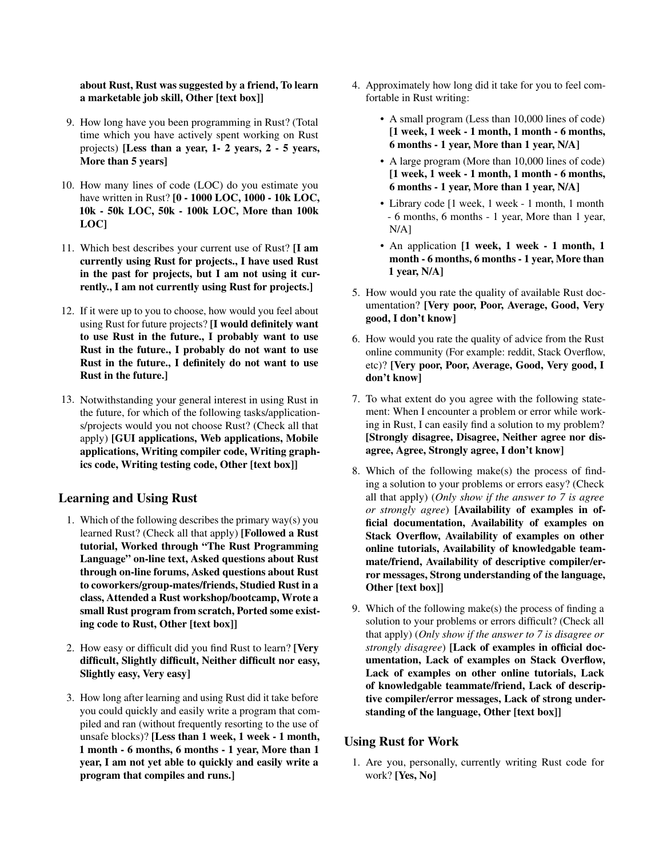### about Rust, Rust was suggested by a friend, To learn a marketable job skill, Other [text box]]

- 9. How long have you been programming in Rust? (Total time which you have actively spent working on Rust projects) [Less than a year, 1- 2 years, 2 - 5 years, More than 5 years]
- 10. How many lines of code (LOC) do you estimate you have written in Rust? [0 - 1000 LOC, 1000 - 10k LOC, 10k - 50k LOC, 50k - 100k LOC, More than 100k LOC]
- 11. Which best describes your current use of Rust? [I am currently using Rust for projects., I have used Rust in the past for projects, but I am not using it currently., I am not currently using Rust for projects.]
- 12. If it were up to you to choose, how would you feel about using Rust for future projects? [I would definitely want to use Rust in the future., I probably want to use Rust in the future., I probably do not want to use Rust in the future., I definitely do not want to use Rust in the future.]
- 13. Notwithstanding your general interest in using Rust in the future, for which of the following tasks/applications/projects would you not choose Rust? (Check all that apply) [GUI applications, Web applications, Mobile applications, Writing compiler code, Writing graphics code, Writing testing code, Other [text box]]

# Learning and Using Rust

- 1. Which of the following describes the primary way(s) you learned Rust? (Check all that apply) [Followed a Rust tutorial, Worked through "The Rust Programming Language" on-line text, Asked questions about Rust through on-line forums, Asked questions about Rust to coworkers/group-mates/friends, Studied Rust in a class, Attended a Rust workshop/bootcamp, Wrote a small Rust program from scratch, Ported some existing code to Rust, Other [text box]]
- 2. How easy or difficult did you find Rust to learn? [Very difficult, Slightly difficult, Neither difficult nor easy, Slightly easy, Very easy]
- 3. How long after learning and using Rust did it take before you could quickly and easily write a program that compiled and ran (without frequently resorting to the use of unsafe blocks)? [Less than 1 week, 1 week - 1 month, 1 month - 6 months, 6 months - 1 year, More than 1 year, I am not yet able to quickly and easily write a program that compiles and runs.]
- 4. Approximately how long did it take for you to feel comfortable in Rust writing:
	- A small program (Less than 10,000 lines of code) [1 week, 1 week - 1 month, 1 month - 6 months, 6 months - 1 year, More than 1 year, N/A]
	- A large program (More than 10,000 lines of code) [1 week, 1 week - 1 month, 1 month - 6 months, 6 months - 1 year, More than 1 year, N/A]
	- Library code [1 week, 1 week 1 month, 1 month - 6 months, 6 months - 1 year, More than 1 year, N/A]
	- An application [1 week, 1 week 1 month, 1 month - 6 months, 6 months - 1 year, More than 1 year, N/A]
- 5. How would you rate the quality of available Rust documentation? [Very poor, Poor, Average, Good, Very good, I don't know]
- 6. How would you rate the quality of advice from the Rust online community (For example: reddit, Stack Overflow, etc)? [Very poor, Poor, Average, Good, Very good, I don't know]
- 7. To what extent do you agree with the following statement: When I encounter a problem or error while working in Rust, I can easily find a solution to my problem? [Strongly disagree, Disagree, Neither agree nor disagree, Agree, Strongly agree, I don't know]
- 8. Which of the following make(s) the process of finding a solution to your problems or errors easy? (Check all that apply) (*Only show if the answer to 7 is agree or strongly agree*) [Availability of examples in official documentation, Availability of examples on Stack Overflow, Availability of examples on other online tutorials, Availability of knowledgable teammate/friend, Availability of descriptive compiler/error messages, Strong understanding of the language, Other [text box]]
- 9. Which of the following make(s) the process of finding a solution to your problems or errors difficult? (Check all that apply) (*Only show if the answer to 7 is disagree or strongly disagree*) [Lack of examples in official documentation, Lack of examples on Stack Overflow, Lack of examples on other online tutorials, Lack of knowledgable teammate/friend, Lack of descriptive compiler/error messages, Lack of strong understanding of the language, Other [text box]]

# Using Rust for Work

1. Are you, personally, currently writing Rust code for work? [Yes, No]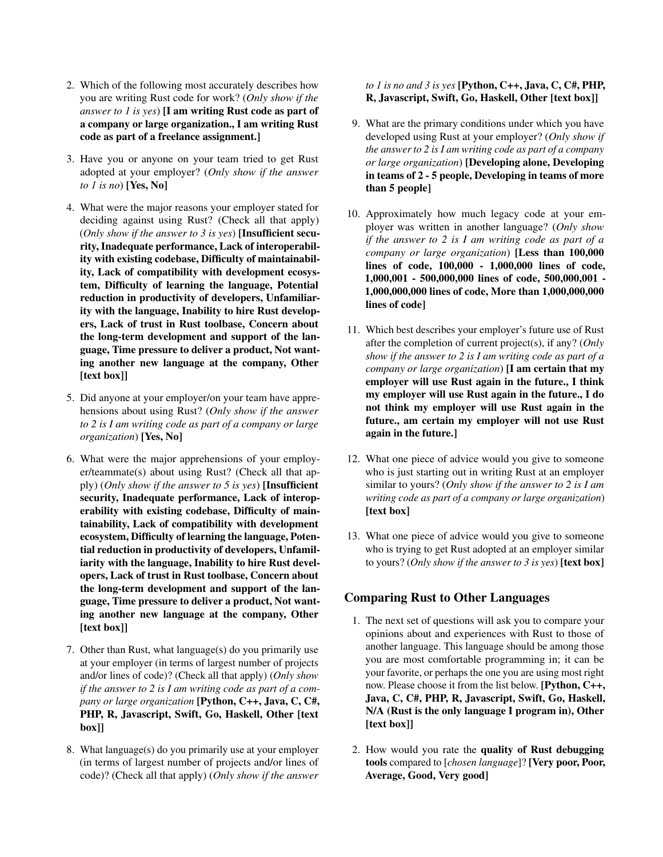- 2. Which of the following most accurately describes how you are writing Rust code for work? (*Only show if the answer to 1 is yes*) [I am writing Rust code as part of a company or large organization., I am writing Rust code as part of a freelance assignment.]
- 3. Have you or anyone on your team tried to get Rust adopted at your employer? (*Only show if the answer to 1 is no*) [Yes, No]
- 4. What were the major reasons your employer stated for deciding against using Rust? (Check all that apply) (*Only show if the answer to 3 is yes*) [Insufficient security, Inadequate performance, Lack of interoperability with existing codebase, Difficulty of maintainability, Lack of compatibility with development ecosystem, Difficulty of learning the language, Potential reduction in productivity of developers, Unfamiliarity with the language, Inability to hire Rust developers, Lack of trust in Rust toolbase, Concern about the long-term development and support of the language, Time pressure to deliver a product, Not wanting another new language at the company, Other [text box]]
- 5. Did anyone at your employer/on your team have apprehensions about using Rust? (*Only show if the answer to 2 is I am writing code as part of a company or large organization*) [Yes, No]
- 6. What were the major apprehensions of your employer/teammate(s) about using Rust? (Check all that apply) (*Only show if the answer to 5 is yes*) [Insufficient security, Inadequate performance, Lack of interoperability with existing codebase, Difficulty of maintainability, Lack of compatibility with development ecosystem, Difficulty of learning the language, Potential reduction in productivity of developers, Unfamiliarity with the language, Inability to hire Rust developers, Lack of trust in Rust toolbase, Concern about the long-term development and support of the language, Time pressure to deliver a product, Not wanting another new language at the company, Other [text box]]
- 7. Other than Rust, what language(s) do you primarily use at your employer (in terms of largest number of projects and/or lines of code)? (Check all that apply) (*Only show if the answer to 2 is I am writing code as part of a company or large organization* [Python, C++, Java, C, C#, PHP, R, Javascript, Swift, Go, Haskell, Other [text box]]
- 8. What language(s) do you primarily use at your employer (in terms of largest number of projects and/or lines of code)? (Check all that apply) (*Only show if the answer*

### *to 1 is no and 3 is yes* [Python, C++, Java, C, C#, PHP, R, Javascript, Swift, Go, Haskell, Other [text box]]

- 9. What are the primary conditions under which you have developed using Rust at your employer? (*Only show if the answer to 2 is I am writing code as part of a company or large organization*) [Developing alone, Developing in teams of 2 - 5 people, Developing in teams of more than 5 people]
- 10. Approximately how much legacy code at your employer was written in another language? (*Only show if the answer to 2 is I am writing code as part of a company or large organization*) [Less than 100,000 lines of code, 100,000 - 1,000,000 lines of code, 1,000,001 - 500,000,000 lines of code, 500,000,001 - 1,000,000,000 lines of code, More than 1,000,000,000 lines of code]
- 11. Which best describes your employer's future use of Rust after the completion of current project(s), if any? (*Only show if the answer to 2 is I am writing code as part of a company or large organization*) [I am certain that my employer will use Rust again in the future., I think my employer will use Rust again in the future., I do not think my employer will use Rust again in the future., am certain my employer will not use Rust again in the future.]
- 12. What one piece of advice would you give to someone who is just starting out in writing Rust at an employer similar to yours? (*Only show if the answer to 2 is I am writing code as part of a company or large organization*) [text box]
- 13. What one piece of advice would you give to someone who is trying to get Rust adopted at an employer similar to yours? (*Only show if the answer to 3 is yes*) [text box]

# Comparing Rust to Other Languages

- 1. The next set of questions will ask you to compare your opinions about and experiences with Rust to those of another language. This language should be among those you are most comfortable programming in; it can be your favorite, or perhaps the one you are using most right now. Please choose it from the list below. [Python, C++, Java, C, C#, PHP, R, Javascript, Swift, Go, Haskell, N/A (Rust is the only language I program in), Other [text box]]
- 2. How would you rate the quality of Rust debugging tools compared to [*chosen language*]? [Very poor, Poor, Average, Good, Very good]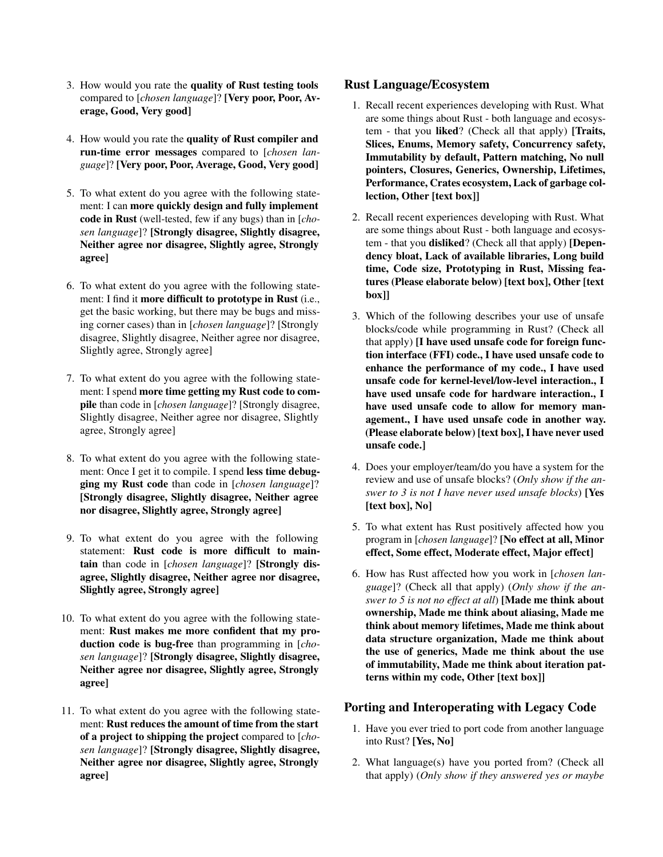- 3. How would you rate the quality of Rust testing tools compared to [*chosen language*]? [Very poor, Poor, Average, Good, Very good]
- 4. How would you rate the quality of Rust compiler and run-time error messages compared to [*chosen language*]? [Very poor, Poor, Average, Good, Very good]
- 5. To what extent do you agree with the following statement: I can more quickly design and fully implement code in Rust (well-tested, few if any bugs) than in [*chosen language*]? [Strongly disagree, Slightly disagree, Neither agree nor disagree, Slightly agree, Strongly agree]
- 6. To what extent do you agree with the following statement: I find it more difficult to prototype in Rust (i.e., get the basic working, but there may be bugs and missing corner cases) than in [*chosen language*]? [Strongly disagree, Slightly disagree, Neither agree nor disagree, Slightly agree, Strongly agree]
- 7. To what extent do you agree with the following statement: I spend more time getting my Rust code to compile than code in [*chosen language*]? [Strongly disagree, Slightly disagree, Neither agree nor disagree, Slightly agree, Strongly agree]
- 8. To what extent do you agree with the following statement: Once I get it to compile. I spend less time debugging my Rust code than code in [*chosen language*]? [Strongly disagree, Slightly disagree, Neither agree nor disagree, Slightly agree, Strongly agree]
- 9. To what extent do you agree with the following statement: Rust code is more difficult to maintain than code in [*chosen language*]? [Strongly disagree, Slightly disagree, Neither agree nor disagree, Slightly agree, Strongly agree]
- 10. To what extent do you agree with the following statement: Rust makes me more confident that my production code is bug-free than programming in [*chosen language*]? [Strongly disagree, Slightly disagree, Neither agree nor disagree, Slightly agree, Strongly agree]
- 11. To what extent do you agree with the following statement: Rust reduces the amount of time from the start of a project to shipping the project compared to [*chosen language*]? [Strongly disagree, Slightly disagree, Neither agree nor disagree, Slightly agree, Strongly agree]

# Rust Language/Ecosystem

- 1. Recall recent experiences developing with Rust. What are some things about Rust - both language and ecosystem - that you liked? (Check all that apply) [Traits, Slices, Enums, Memory safety, Concurrency safety, Immutability by default, Pattern matching, No null pointers, Closures, Generics, Ownership, Lifetimes, Performance, Crates ecosystem, Lack of garbage collection, Other [text box]]
- 2. Recall recent experiences developing with Rust. What are some things about Rust - both language and ecosystem - that you disliked? (Check all that apply) [Dependency bloat, Lack of available libraries, Long build time, Code size, Prototyping in Rust, Missing features (Please elaborate below) [text box], Other [text box]]
- 3. Which of the following describes your use of unsafe blocks/code while programming in Rust? (Check all that apply) [I have used unsafe code for foreign function interface (FFI) code., I have used unsafe code to enhance the performance of my code., I have used unsafe code for kernel-level/low-level interaction., I have used unsafe code for hardware interaction., I have used unsafe code to allow for memory management., I have used unsafe code in another way. (Please elaborate below) [text box], I have never used unsafe code.]
- 4. Does your employer/team/do you have a system for the review and use of unsafe blocks? (*Only show if the answer to 3 is not I have never used unsafe blocks*) [Yes [text box], No]
- 5. To what extent has Rust positively affected how you program in [*chosen language*]? [No effect at all, Minor effect, Some effect, Moderate effect, Major effect]
- 6. How has Rust affected how you work in [*chosen language*]? (Check all that apply) (*Only show if the answer to 5 is not no effect at all*) [Made me think about ownership, Made me think about aliasing, Made me think about memory lifetimes, Made me think about data structure organization, Made me think about the use of generics, Made me think about the use of immutability, Made me think about iteration patterns within my code, Other [text box]]

### Porting and Interoperating with Legacy Code

- 1. Have you ever tried to port code from another language into Rust? [Yes, No]
- 2. What language(s) have you ported from? (Check all that apply) (*Only show if they answered yes or maybe*